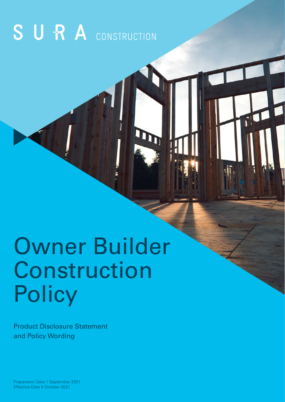# SURA CONSTRUCTION

# Owner Builder Construction **Policy**

Product Disclosure Statement and Policy Wording

Preparation Date 1 September 2021 Effective Date 5 October 2021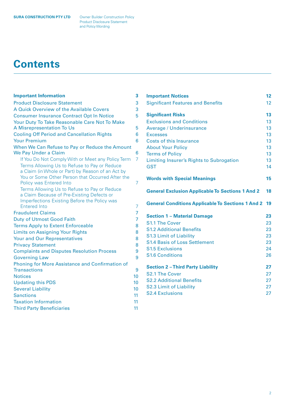# **Contents**

| <b>Important Information</b>                                                               | 3              |  |  |
|--------------------------------------------------------------------------------------------|----------------|--|--|
| <b>Product Disclosure Statement</b>                                                        |                |  |  |
| A Quick Overview of the Available Covers                                                   |                |  |  |
| <b>Consumer Insurance Contract Opt In Notice</b>                                           |                |  |  |
| Your Duty To Take Reasonable Care Not To Make                                              |                |  |  |
| A Misrepresentation To Us                                                                  | 5              |  |  |
| <b>Cooling Off Period and Cancellation Rights</b>                                          | 6              |  |  |
| <b>Your Premium</b>                                                                        | 6              |  |  |
| When We Can Refuse to Pay or Reduce the Amount                                             |                |  |  |
| We Pay Under a Claim                                                                       | 6              |  |  |
| If You Do Not Comply With or Meet any Policy Term                                          | $\overline{7}$ |  |  |
| Terms Allowing Us to Refuse to Pay or Reduce                                               |                |  |  |
| a Claim (in Whole or Part) by Reason of an Act by                                          |                |  |  |
| You or Some Other Person that Occurred After the                                           |                |  |  |
| Policy was Entered Into                                                                    | 7              |  |  |
| Terms Allowing Us to Refuse to Pay or Reduce                                               |                |  |  |
| a Claim Because of Pre-Existing Defects or<br>Imperfections Existing Before the Policy was |                |  |  |
| <b>Entered Into</b>                                                                        | 7              |  |  |
| <b>Fraudulent Claims</b>                                                                   | 7              |  |  |
| <b>Duty of Utmost Good Faith</b>                                                           |                |  |  |
| <b>Terms Apply to Extent Enforceable</b>                                                   | 7<br>8         |  |  |
| <b>Limits on Assigning Your Rights</b>                                                     | 8              |  |  |
| <b>Your and Our Representatives</b>                                                        |                |  |  |
| <b>Privacy Statement</b>                                                                   | 8<br>8         |  |  |
| <b>Complaints and Disputes Resolution Process</b>                                          |                |  |  |
| <b>Governing Law</b>                                                                       |                |  |  |
| Phoning for More Assistance and Confirmation of                                            | 9              |  |  |
| <b>Transactions</b>                                                                        | 9              |  |  |
| <b>Notices</b>                                                                             | 10             |  |  |
| <b>Updating this PDS</b>                                                                   | 10             |  |  |
| <b>Several Liability</b>                                                                   | 10             |  |  |
| <b>Sanctions</b>                                                                           | 11             |  |  |
| <b>Taxation Information</b>                                                                | 11             |  |  |
| <b>Third Party Beneficiaries</b>                                                           | 11             |  |  |
|                                                                                            |                |  |  |

| <b>Important Notices</b>                                               | 12                |  |  |
|------------------------------------------------------------------------|-------------------|--|--|
| <b>Significant Features and Benefits</b>                               | $12 \overline{ }$ |  |  |
| <b>Significant Risks</b>                                               | 13                |  |  |
| <b>Exclusions and Conditions</b>                                       | 13                |  |  |
|                                                                        | 13                |  |  |
| Average / Underinsurance<br><b>Excesses</b>                            | 13                |  |  |
| <b>Costs of this Insurance</b>                                         | 13                |  |  |
| <b>About Your Policy</b>                                               | 13                |  |  |
| <b>Terms of Policy</b>                                                 | 13                |  |  |
| Limiting Insurer's Rights to Subrogation                               | 13                |  |  |
| <b>GST</b>                                                             | 14                |  |  |
|                                                                        |                   |  |  |
| <b>Words with Special Meanings</b>                                     |                   |  |  |
| <b>General Exclusion Applicable To Sections 1 And 2</b>                |                   |  |  |
|                                                                        |                   |  |  |
| <b>General Conditions Applicable To Sections 1 And 2</b>               | 19                |  |  |
| <b>Section 1 - Material Damage</b>                                     | 23                |  |  |
| <b>S1.1 The Cover</b>                                                  | 23                |  |  |
| <b>S1.2 Additional Benefits</b>                                        | 23                |  |  |
|                                                                        | 23                |  |  |
| <b>S1.3 Limit of Liability</b><br><b>S1.4 Basis of Loss Settlement</b> | 23                |  |  |
| <b>S1.5 Exclusions</b>                                                 | 24                |  |  |
| <b>S1.6 Conditions</b>                                                 | 26                |  |  |
| <b>Section 2-Third Party Liability</b>                                 | 27                |  |  |
| S2.1 The Cover                                                         | 27                |  |  |
| <b>S2.2 Additional Benefits</b>                                        | 27                |  |  |
| <b>S2.3 Limit of Liability</b>                                         | 27                |  |  |
| <b>S2.4 Exclusions</b>                                                 | 27                |  |  |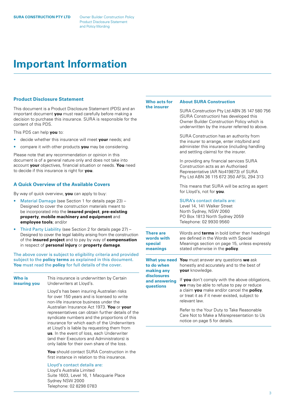# <span id="page-2-0"></span>**Important Information**

# **Product Disclosure Statement**

This document is a Product Disclosure Statement (PDS) and an important document **you** must read carefully before making a decision to purchase this insurance. SURA is responsible for the content of this PDS.

This PDS can help **you** to:

- decide whether this insurance will meet **your** needs; and
- compare it with other products **you** may be considering.

Please note that any recommendation or opinion in this document is of a general nature only and does not take into account **your** objectives, financial situation or needs. **You** need to decide if this insurance is right for **you**.

# **A Quick Overview of the Available Covers**

By way of quick overview, **you** can apply to buy:

- Material Damage (see Section 1 for details page 23) Designed to cover the construction materials meant to be incorporated into the **insured project**, **pre-existing property**, **mobile machinery and equipment** and **employee tools**; and/or
- Third Party Liability (see Section 2 for details page 27) Designed to cover the legal liability arising from the construction of the **insured project** and to pay by way of **compensation** in respect of **personal injury** or **property damage**.

The above cover is subject to eligibility criteria and provided subject to the **policy terms** as explained in this document. **You** must read the **policy** for full details of the cover.

| <b>Who is</b> | This insurance is underwritten by Certain                                                                                                                                                                                                                                                                                                                                                                                                                                           |
|---------------|-------------------------------------------------------------------------------------------------------------------------------------------------------------------------------------------------------------------------------------------------------------------------------------------------------------------------------------------------------------------------------------------------------------------------------------------------------------------------------------|
| insuring you  | Underwriters at Lloyd's.                                                                                                                                                                                                                                                                                                                                                                                                                                                            |
|               | Lloyd's has been insuring Australian risks<br>for over 150 years and is licensed to write<br>non-life insurance business under the<br>Australian Insurance Act 1973. You or your<br>representatives can obtain further details of the<br>syndicate numbers and the proportions of this<br>insurance for which each of the Underwriters<br>at Lloyd's is liable by requesting them from<br>us. In the event of loss, each Underwriter<br>(and their Executors and Administrators) is |

only liable for their own share of the loss. **You** should contact SURA Construction in the first instance in relation to this insurance.

# Lloyd's contact details are:

Lloyd's Australia Limited Suite 1603, Level 16, 1 Macquarie Place Sydney NSW 2000 Telephone: 02 8298 0783

#### **Who acts for About SURA Construction**

**the insurer**

SURA Construction Pty Ltd ABN 35 147 580 756 (SURA Construction) has developed this Owner Builder Construction Policy which is underwritten by the insurer referred to above.

SURA Construction has an authority from the insurer to arrange, enter into/bind and administer this insurance (including handling and settling claims) for the insurer.

In providing any financial services SURA Construction acts as an Authorised Representative (AR No419873) of SURA Pty Ltd ABN 36 115 672 350 AFSL 294 313

This means that SURA will be acting as agent for Lloyd's, not for **you**.

# SURA's contact details are:

Level 14, 141 Walker Street North Sydney, NSW 2060 PO Box 1813 North Sydney 2059 Telephone: 02 9930 9560

| <b>There are</b><br>words with<br>special<br>meanings    | Words and terms in bold (other than headings)<br>are defined in the Words with Special<br>Meanings section on page 15, unless expressly<br>stated otherwise in the <b>policy</b> .                            |
|----------------------------------------------------------|---------------------------------------------------------------------------------------------------------------------------------------------------------------------------------------------------------------|
| What you need<br>to do when<br>making any<br>disclosures | <b>You</b> must answer any questions we ask<br>honestly and accurately and to the best of<br>vour knowledge.                                                                                                  |
| and answering<br>questions                               | If you don't comply with the above obligations,<br>we may be able to refuse to pay or reduce<br>a claim you make and/or cancel the policy,<br>or treat it as if it never existed, subject to<br>relevant law. |
|                                                          | Refer to the Your Duty to Take Reasonable<br>Care Not to Make a Misrepresentation to Us<br>notice on page 5 for details.                                                                                      |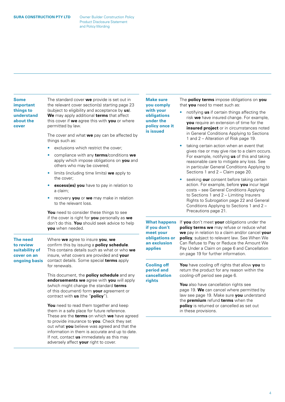# **Some important things to understand about the cover**

The standard cover **we** provide is set out in the relevant cover section(s) starting page 23 (subject to eligibility and acceptance by **us**). **We** may apply additional **terms** that affect this cover if **we** agree this with **you** or where permitted by law.

The cover and what **we** pay can be affected by things such as:

- exclusions which restrict the cover:
- compliance with any **terms**/conditions **we** apply which impose obligations on **you** and others who may be covered;
- limits (including time limits) **we** apply to the cover;
- **excess(es) you** have to pay in relation to a claim;
- recovery **you** or **we** may make in relation to the relevant loss.

**You** need to consider these things to see if the cover is right for **you** personally as **we** don't do this. **You** should seek advice to help **you** when needed.

# **The need to review suitability of cover on an ongoing basis**

Where **we** agree to insure **you**, **we** confirm this by issuing a **policy schedule**. This contains details such as what or who **we** insure, what covers are provided and **your** contact details. Some special **terms** apply for renewals.

This document, the **policy schedule** and any **endorsements we** agree with **you** will apply (which might change the standard **terms** of this document) form **your** agreement or contract with **us** (the "**policy**").

You need to read them together and keep them in a safe place for future reference. These are the **terms** on which **we** have agreed to provide insurance to **you**. Check they set out what **you** believe was agreed and that the information in them is accurate and up to date. If not, contact **us** immediately as this may adversely affect **your** right to cover.

**Make sure you comply with your obligations under the policy once it is issued** 

The **policy terms** impose obligations on **you** that **you** need to meet such as:

- notifying **us** if certain things affecting the risk **we** have insured change. For example, **you** require an extension of time for the **insured project** or in circumstances noted in General Conditions Applying to Sections 1 and 2 – Alteration of Risk page 19.
- taking certain action when an event that gives rise or may give rise to a claim occurs. For example, notifying **us** of this and taking reasonable care to mitigate any loss. See in particular General Conditions Applying to Sections 1 and 2 – Claim page 20.
- seeking **our** consent before taking certain action. For example, before **you** incur legal costs – see General Conditions Applying to Sections 1 and 2 – Limiting Insurers Rights to Subrogation page 22 and General Conditions Applying to Sections 1 and 2 – Precautions page 21.

**What happens**  If **you** don't meet **your** obligations under the **if you don't meet your obligations or an exclusion applies policy terms we** may refuse or reduce what **we** pay in relation to a claim and/or cancel **your policy**, subject to relevant law. See When We Can Refuse to Pay or Reduce the Amount We Pay Under a Claim on page 6 and Cancellation on page 19 for further information. **Cooling off period and cancellation rights You** have cooling off rights that allow **you** to return the product for any reason within the cooling-off period see page 6. **You** also have cancellation rights see page 19. **We** can cancel where permitted by law see page 19. Make sure **you** understand the **premium** refund **terms** when the **policy** is returned or cancelled as set out

in these provisions.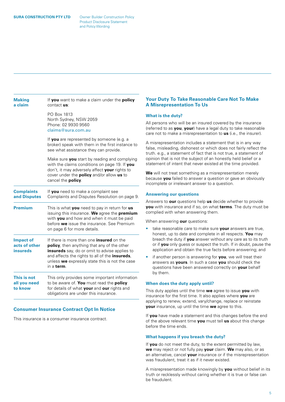<span id="page-4-0"></span>

| <b>Making</b><br>a claim                                                                                                  | If you want to make a claim under the policy<br>contact us:                                                                                                                                                                                                       |  |
|---------------------------------------------------------------------------------------------------------------------------|-------------------------------------------------------------------------------------------------------------------------------------------------------------------------------------------------------------------------------------------------------------------|--|
|                                                                                                                           | PO Box 1813<br>North Sydney, NSW 2059<br>Phone: 02 9930 9560<br>claims@sura.com.au                                                                                                                                                                                |  |
|                                                                                                                           | If you are represented by someone (e.g. a<br>broker) speak with them in the first instance to<br>see what assistance they can provide.                                                                                                                            |  |
|                                                                                                                           | Make sure you start by reading and complying<br>with the claims conditions on page 19. If you<br>don't, it may adversely affect your rights to<br>cover under the policy and/or allow us to<br>cancel the policy.                                                 |  |
| <b>Complaints</b><br>If you need to make a complaint see<br>and Disputes<br>Complaints and Disputes Resolution on page 9. |                                                                                                                                                                                                                                                                   |  |
| <b>Premium</b>                                                                                                            | This is what you need to pay in return for us<br>issuing this insurance. We agree the premium<br>with you and how and when it must be paid<br>before we issue the insurance. See Premium<br>on page 6 for more details.                                           |  |
| <b>Impact of</b><br>acts of other<br><b>insureds</b>                                                                      | If there is more than one <b>insured</b> on the<br>policy, then anything that any of the other<br>insureds say, do or omit to advise applies to<br>and affects the rights to all of the insureds,<br>unless we expressly state this is not the case<br>in a term. |  |
| This is not<br>all you need<br>to know                                                                                    | This only provides some important information<br>to be aware of. You must read the policy<br>for details of what your and our rights and<br>obligations are under this insurance.                                                                                 |  |

# **Consumer Insurance Contract Opt In Notice**

This insurance is a consumer insurance contract.

# **Your Duty To Take Reasonable Care Not To Make A Misrepresentation To Us**

### **What is the duty?**

All persons who will be an insured covered by the insurance (referred to as **you**, **your**) have a legal duty to take reasonable care not to make a misrepresentation to **us** (i.e., the insurer).

A misrepresentation includes a statement that is in any way false, misleading, dishonest or which does not fairly reflect the truth. e.g., a statement of fact that is not true, a statement of opinion that is not the subject of an honestly held belief or a statement of intent that never existed at the time provided.

**We** will not treat something as a misrepresentation merely because **you** failed to answer a question or gave an obviously incomplete or irrelevant answer to a question.

### **Answering our questions**

Answers to **our** questions help **us** decide whether to provide **you** with insurance and if so, on what **terms**. The duty must be complied with when answering them.

When answering **our** questions:

- take reasonable care to make sure **your** answers are true, honest, up to date and complete in all respects. **You** may breach the duty if **you** answer without any care as to its truth or if **you** only guess or suspect the truth. If in doubt, pause the application and obtain the true facts before answering; and
- if another person is answering for **you**, we will treat their answers as **yours**. In such a case **you** should check the questions have been answered correctly on **your** behalf by them.

# **When does the duty apply until?**

This duty applies until the time **we** agree to issue **you** with insurance for the first time. It also applies where **you** are applying to renew, extend, vary/change, replace or reinstate **your** insurance, up until the time **we** agree to this.

If **you** have made a statement and this changes before the end of the above relevant time **you** must tell **us** about this change before the time ends.

# **What happens if you breach the duty?**

If **you** do not meet the duty, to the extent permitted by law, **we** may reject or not fully pay **your** claim. **We** may also, or as an alternative, cancel **your** insurance or if the misrepresentation was fraudulent, treat it as if it never existed.

A misrepresentation made knowingly by **you** without belief in its truth or recklessly without caring whether it is true or false can be fraudulent.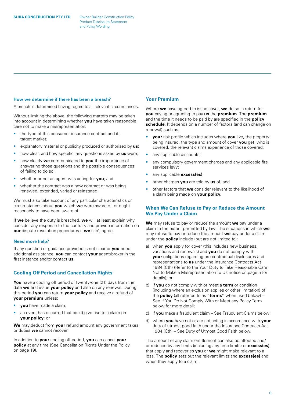#### <span id="page-5-0"></span>**How we determine if there has been a breach?**

A breach is determined having regard to all relevant circumstances.

Without limiting the above, the following matters may be taken into account in determining whether **you** have taken reasonable care not to make a misrepresentation:

- the type of this consumer insurance contract and its target market:
- explanatory material or publicity produced or authorised by **us**;
- how clear, and how specific, any questions asked by **us** were;
- how clearly **we** communicated to **you** the importance of answering those questions and the possible consequences of failing to do so;
- whether or not an agent was acting for **you**; and
- whether the contract was a new contract or was being renewed, extended, varied or reinstated.

We must also take account of any particular characteristics or circumstances about **you** which **we** were aware of, or ought reasonably to have been aware of.

If **we** believe the duty is breached, **we** will at least explain why, consider any response to the contrary and provide information on **our** dispute resolution procedures if **we** can't agree.

#### **Need more help?**

If any question or guidance provided is not clear or **you** need additional assistance, **you** can contact **your** agent/broker in the first instance and/or contact **us**.

#### **Cooling Off Period and Cancellation Rights**

**You** have a cooling off period of twenty-one (21) days from the date **we** first issue **your policy** and also on any renewal. During this period **you** can return **your policy** and receive a refund of **your premium** unless:

- **you** have made a claim;
- an event has occurred that could give rise to a claim on **your policy**; or

**We** may deduct from **your** refund amount any government taxes or duties **we** cannot recover.

In addition to **your** cooling off period, **you** can cancel **your policy** at any time (See Cancellation Rights Under the Policy on page 19).

# **Your Premium**

Where **we** have agreed to issue cover, **we** do so in return for **you** paying or agreeing to pay **us** the **premium**. The **premium** and the time it needs to be paid by are specified in the **policy schedule**. It depends on a number of factors (and can change on renewal) such as:

- **your** risk profile which includes where **you** live, the property being insured, the type and amount of cover **you** get, who is covered, the relevant claims experience of those covered;
- any applicable discounts:
- any compulsory government charges and any applicable fire services levy;
- any applicable **excess(es)**;
- other charges **you** are told by **us** of; and
- other factors that **we** consider relevant to the likelihood of a claim being made on **your policy**.

# **When We Can Refuse to Pay or Reduce the Amount We Pay Under a Claim**

**We** may refuse to pay or reduce the amount **we** pay under a claim to the extent permitted by law. The situations in which **we** may refuse to pay or reduce the amount **we** pay under a claim under the **policy** include (but are not limited to):

- when **you** apply for cover (this includes new business, variations and renewals) and **you** do not comply with **your** obligations regarding pre contractual disclosures and representations to **us** under the Insurance Contracts Act 1984 (Cth) (Refer to the Your Duty to Take Reasonable Care Not to Make a Misrepresentation to Us notice on page 5 for details); or
- b) if **you** do not comply with or meet a **term** or condition (including where an exclusion applies or other limitation) of the **policy** (all referred to as "**terms**" when used below) – See If You Do Not Comply With or Meet any Policy Term below for more detail;
- c) if **you** make a fraudulent claim See Fraudulent Claims below;
- d) where **you** have not or are not acting in accordance with **your** duty of utmost good faith under the Insurance Contracts Act 1984 (Cth) – See Duty of Utmost Good Faith below.

The amount of any claim entitlement can also be affected and/ or reduced by any limits (including any time limits) or **excess(es)** that apply and recoveries **you** or **we** might make relevant to a loss. The **policy** sets out the relevant limits and **excess(es)** and when they apply to a claim.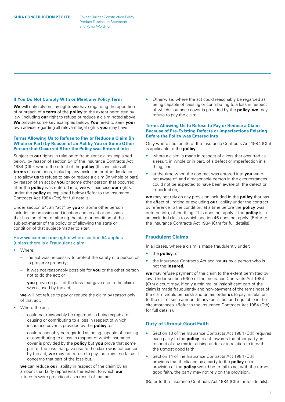#### <span id="page-6-0"></span>**If You Do Not Comply With or Meet any Policy Term**

**We** will only rely on any rights **we** have regarding the operation of or breach of a **term** of the **policy** to the extent permitted by law (including **our** right to refuse or reduce a claim noted above). **We** provide some key examples below. **You** need to seek **your** own advice regarding all relevant legal rights **you** may have.

# **Terms Allowing Us to Refuse to Pay or Reduce a Claim (in Whole or Part) by Reason of an Act by You or Some Other Person that Occurred After the Policy was Entered Into**

Subject to **our** rights in relation to fraudulent claims explained below, by reason of section 54 of the Insurance Contracts Act 1984 (Cth), where the effect of the **policy** (this includes all **terms** or conditions, including any exclusion or other limitation) is to allow **us** to refuse to pay or reduce a claim (in whole or part) by reason of an act by **you** or some other person that occurred after the **policy** was entered into, **we** will exercise **our** rights under the **policy** as explained below (Refer to the Insurance Contracts Act 1984 (Cth) for full details).

Under section 54, an "act" by **you** or some other person includes an omission and inaction and an act or omission that has the effect of altering the state or condition of the subject-matter of the policy or of allowing the state or condition of that subject-matter to alter.

# How **we** exercise **our** rights where section 54 applies (unless there is a Fraudulent claim)

- Where:
	- the act was necessary to protect the safety of a person or to preserve property;
	- it was not reasonably possible for **you** or the other person not to do the act; or
	- **you** prove no part of the loss that gave rise to the claim was caused by the act,

**we** will not refuse to pay or reduce the claim by reason only of that act.

- Where the act:
	- could not reasonably be regarded as being capable of causing or contributing to a loss in respect of which insurance cover is provided by the **policy**; or
	- could reasonably be regarded as being capable of causing or contributing to a loss in respect of which insurance cover is provided by the **policy** but **you** prove that some part of the loss that gave rise to the claim was not caused by the act, **we** may not refuse to pay the claim, so far as it concerns that part of the loss but,

**we** can reduce **our** liability in respect of the claim by an amount that fairly represents the extent to which **our** interests were prejudiced as a result of that act.

• Otherwise, where the act could reasonably be regarded as being capable of causing or contributing to a loss in respect of which insurance cover is provided by the **policy**, **we** may refuse to pay the claim.

# **Terms Allowing Us to Refuse to Pay or Reduce a Claim Because of Pre-Existing Defects or Imperfections Existing Before the Policy was Entered Into**

Only where section 46 of the Insurance Contracts Act 1984 (Cth) is applicable to the **policy**:

- where a claim is made in respect of a loss that occurred as a result, in whole or in part, of a defect or imperfection in a thing; and
- at the time when the contract was entered into **you** were not aware of, and a reasonable person in the circumstances could not be expected to have been aware of, the defect or imperfection,

**we** may not rely on any provision included in the **policy** that has the effect of limiting or excluding **our** liability under the contract by reference to the condition, at a time before the **policy** was entered into, of the thing. This does not apply if the **policy** is in an excluded class to which section 46 does not apply. (Refer to the Insurance Contracts Act 1984 (Cth) for full details).

# **Fraudulent Claims**

In all cases, where a claim is made fraudulently under:

- the **policy**; or
- the Insurance Contracts Act against **us** by a person who is not the **insured**,

**we** may refuse payment of the claim to the extent permitted by law. Under section 56(2) of the Insurance Contracts Act 1984 (Cth) a court may, if only a minimal or insignificant part of the claim is made fraudulently and non-payment of the remainder of the claim would be harsh and unfair, order **us** to pay, in relation to the claim, such amount (if any) as is just and equitable in the circumstances. (Refer to the Insurance Contracts Act 1984 (Cth) for full details).

# **Duty of Utmost Good Faith**

- Section 13 of the Insurance Contracts Act 1984 (Cth) requires each party to the **policy** to act towards the other party, in respect of any matter arising under or in relation to it, with the utmost good faith.
- Section 14 of the Insurance Contracts Act 1984 (Cth) provides that if reliance by a party to the **policy** on a provision of the **policy** would be to fail to act with the utmost good faith, the party may not rely on the provision.

(Refer to the Insurance Contracts Act 1984 (Cth) for full details).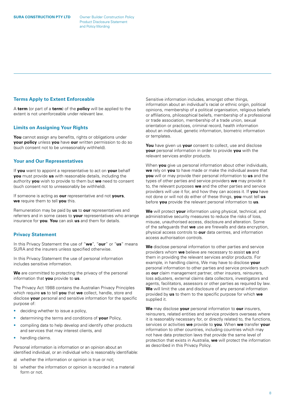# <span id="page-7-0"></span>**Terms Apply to Extent Enforceable**

A **term** (or part of a **term**) of the **policy** will be applied to the extent is not unenforceable under relevant law.

# **Limits on Assigning Your Rights**

You cannot assign any benefits, rights or obligations under **your policy** unless **you** have **our** written permission to do so (such consent not to be unreasonably withheld).

# **Your and Our Representatives**

If **you** want to appoint a representative to act on **your** behalf **you** must provide **us** with reasonable details, including the authority **you** wish to provide to them but **we** need to consent (such consent not to unreasonably be withheld).

If someone is acting as **our** representative and not **yours**, **we** require them to tell **you** this.

Remuneration may be paid by **us** to **our** representatives and referrers and in some cases to **your** representatives who arrange insurance for **you**. **You** can ask **us** and them for details.

# **Privacy Statement**

In this Privacy Statement the use of "**we**", "**our**" or "**us**" means SURA and the insurers unless specified otherwise.

In this Privacy Statement the use of personal information includes sensitive information.

**We** are committed to protecting the privacy of the personal information that **you** provide to **us**.

The Privacy Act 1988 contains the Australian Privacy Principles which require **us** to tell **you** that **we** collect, handle, store and disclose **your** personal and sensitive information for the specific purpose of:

- deciding whether to issue a policy,
- determining the terms and conditions of **your** Policy,
- compiling data to help develop and identify other products and services that may interest clients, and
- handling claims.

Personal information is information or an opinion about an identified individual, or an individual who is reasonably identifiable:

- a) whether the information or opinion is true or not;
- b) whether the information or opinion is recorded in a material form or not.

Sensitive information includes, amongst other things, information about an individual's racial or ethnic origin, political opinions, membership of a political organisation, religious beliefs or affiliations, philosophical beliefs, membership of a professional or trade association, membership of a trade union, sexual orientation or practices, criminal record, health information about an individual, genetic information, biometric information or templates.

**You** have given us **your** consent to collect, use and disclose **your** personal information in order to provide **you** with the relevant services and/or products.

When **you** give us personal information about other individuals, **we** rely on **you** to have made or make the individual aware that **you** will or may provide their personal information to **us** and the types of other parties and service providers **we** may provide it to, the relevant purposes **we** and the other parties and service providers will use it for, and how they can access it. If **you** have not done or will not do either of these things, **you** must tell **us** before **you** provide the relevant personal information to **us**.

**We** will protect **your** information using physical, technical, and administrative security measures to reduce the risks of loss, misuse, unauthorised access, disclosure and alteration. Some of the safeguards that **we** use are firewalls and data encryption, physical access controls to **our** data centres, and information access authorisation controls.

**We** disclose personal information to other parties and service providers whom **we** believe are necessary to assist **us** and them in providing the relevant services and/or products. For example, in handling claims, We may have to disclose **your** personal information to other parties and service providers such as **our** claim management partner, other insurers, reinsurers, loss adjusters, external claims data collectors, investigators and agents, facilitators, assessors or other parties as required by law. **We** will limit the use and disclosure of any personal information provided by **us** to them to the specific purpose for which **we** supplied it.

**We** may disclose **your** personal information to **our** insurers, reinsurers, related entities and service providers overseas where it is reasonably necessary for, or directly related to, the functions, services or activities **we** provide to **you**. When **we** transfer **your** information to other countries, including countries which may not have data protection laws that provide the same level of protection that exists in Australia, **we** will protect the information as described in this Privacy Policy.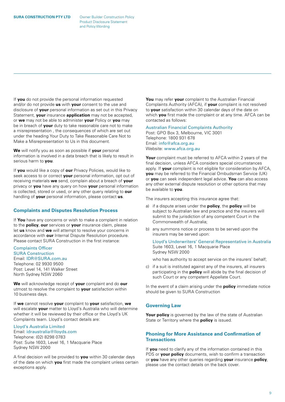<span id="page-8-0"></span>Product Disclosure Statement and Policy Wording

If **you** do not provide the personal information requested and/or do not provide **us** with **your** consent to the use and disclosure of **your** personal information as set out in this Privacy Statement, **your** insurance **application** may not be accepted, or **we** may not be able to administer **your** Policy or **you** may be in breach of **your** duty to take reasonable care not to make a misrepresentation , the consequences of which are set out under the heading Your Duty to Take Reasonable Care Not to Make a Misrepresentation to Us in this document.

**We** will notify you as soon as possible if **your** personal information is involved in a data breach that is likely to result in serious harm to **you**.

If **you** would like a copy of **our** Privacy Policies, would like to seek access to or correct **your** personal information, opt out of receiving materials **we** send, complain about a breach of **your** privacy or **you** have any query on how **your** personal information is collected, stored or used, or any other query relating to **our** handling of **your** personal information, please contact **us**.

# **Complaints and Disputes Resolution Process**

If **You** have any concerns or wish to make a complaint in relation to the **policy**, **our** services or **your** insurance claim, please let **us** know and **we** will attempt to resolve your concerns in accordance with **our** Internal Dispute Resolution procedure. Please contact SURA Construction in the first instance:

Complaints Officer SURA Construction Email: [IDR@SURA.com.au](mailto:IDR%40SURA.com.au?subject=) Telephone: 02 9930 9500 Post: Level 14, 141 Walker Street North Sydney NSW 2060

**We** will acknowledge receipt of **your** complaint and do **our** utmost to resolve the complaint to **your** satisfaction within 10 business days.

If **we** cannot resolve **your** complaint to **your** satisfaction, **we** will escalate **your** matter to Lloyd's Australia who will determine whether it will be reviewed by their office or the Lloyd's UK Complaints team. Lloyd's contact details are:

# Lloyd's Australia Limited

Email: [idraustralia@lloyds.com](mailto:idraustralia%40lloyds.com?subject=) Telephone: (02) 8298 0783 Post: Suite 1603, Level 16, 1 Macquarie Place Sydney NSW 2000

A final decision will be provided to **you** within 30 calendar days of the date on which **you** first made the complaint unless certain exceptions apply.

**You** may refer **your** complaint to the Australian Financial Complaints Authority (AFCA), if **your** complaint is not resolved to **your** satisfaction within 30 calendar days of the date on which **you** first made the complaint or at any time. AFCA can be contacted as follows:

#### Australian Financial Complaints Authority Post: GPO Box 3, Melbourne, VIC 3001

Telephone: 1800 931 678 Email: [info@afca.org.au](mailto:info%40afca.org.au?subject=) Website: [www.afca.org.au](http://www.afca.org.au)

**Your** complaint must be referred to AFCA within 2 years of the final decision, unless AFCA considers special circumstances apply. If **your** complaint is not eligible for consideration by AFCA, **you** may be referred to the Financial Ombudsman Service (UK) or **you** can seek independent legal advice. **You** can also access any other external dispute resolution or other options that may be available to **you**.

The insurers accepting this insurance agree that:

- a) if a dispute arises under the **policy**, the **policy** will be subject to Australian law and practice and the insurers will submit to the jurisdiction of any competent Court in the Commonwealth of Australia;
- b) any summons notice or process to be served upon the insurers may be served upon:

Lloyd's Underwriters' General Representative in Australia Suite 1603, Level 16, 1 Macquarie Place Sydney NSW 2000

who has authority to accept service on the insurers' behalf;

c) if a suit is instituted against any of the insurers, all insurers participating in the **policy** will abide by the final decision of such Court or any competent Appellate Court.

In the event of a claim arising under the **policy** immediate notice should be given to SURA Construction

# **Governing Law**

**Your policy** is governed by the law of the state of Australian State or Territory where the **policy** is issued.

# **Phoning for More Assistance and Confirmation of Transactions**

If **you** need to clarify any of the information contained in this PDS or **your policy** documents, wish to confirm a transaction or **you** have any other queries regarding **your** insurance **policy**, please use the contact details on the back cover.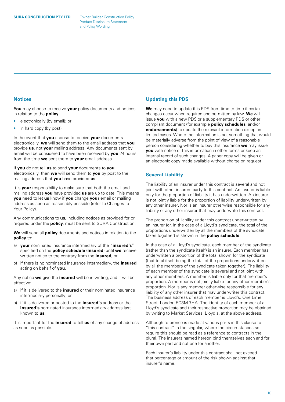# <span id="page-9-0"></span>**Notices**

**You** may choose to receive **your** policy documents and notices in relation to the **policy**:

- electronically (by email); or
- in hard copy (by post).

In the event that **you** choose to receive **your** documents electronically, **we** will send them to the email address that **you** provide **us**, not **your** mailing address. Any documents sent by email will be considered to have been received by **you** 24 hours from the time **we** sent them to **your** email address.

If **you** do not tell **us** to send **your** documents to **you** electronically, then **we** will send them to **you** by post to the mailing address that **you** have provided **us**.

It is **your** responsibility to make sure that both the email and mailing address **you** have provided **us** are up to date. This means **you** need to let **us** know if **you** change **your** email or mailing address as soon as reasonably possible (refer to Changes to Your Policy).

Any communications to **us**, including notices as provided for or required under the **policy**, must be sent to SURA Construction.

**We** will send all **policy** documents and notices in relation to the **policy** to:

- a) **your** nominated insurance intermediary of the "**insured's**" specified on the **policy schedule** (**insured**) until **we** receive written notice to the contrary from the **insured**; or
- b) if there is no nominated insurance intermediary, the **insured**, acting on behalf of **you**.

Any notice **we** give the **insured** will be in writing, and it will be effective:

- a) if it is delivered to the **insured** or their nominated insurance intermediary personally; or
- b) if it is delivered or posted to the **insured's** address or the **insured's** nominated insurance intermediary address last known to **us**.

It is important for the **insured** to tell **us** of any change of address as soon as possible.

# **Updating this PDS**

**We** may need to update this PDS from time to time if certain changes occur when required and permitted by law. **We** will issue **you** with a new PDS or a supplementary PDS or other compliant document (for example **policy schedules**, and/or **endorsements**) to update the relevant information except in limited cases. Where the information is not something that would be materially adverse from the point of view of a reasonable person considering whether to buy this insurance **we** may issue **you** with notice of this information in other forms or keep an internal record of such changes. A paper copy will be given or an electronic copy made available without charge on request.

# **Several Liability**

The liability of an insurer under this contract is several and not joint with other insurers party to this contract. An insurer is liable only for the proportion of liability it has underwritten. An insurer is not jointly liable for the proportion of liability underwritten by any other insurer. Nor is an insurer otherwise responsible for any liability of any other insurer that may underwrite this contract.

The proportion of liability under this contract underwritten by an insurer (or, in the case of a Lloyd's syndicate, the total of the proportions underwritten by all the members of the syndicate taken together) is shown in the **policy schedule**.

In the case of a Lloyd's syndicate, each member of the syndicate (rather than the syndicate itself) is an insurer. Each member has underwritten a proportion of the total shown for the syndicate (that total itself being the total of the proportions underwritten by all the members of the syndicate taken together). The liability of each member of the syndicate is several and not joint with any other members. A member is liable only for that member's proportion. A member is not jointly liable for any other member's proportion. Nor is any member otherwise responsible for any liability of any other insurer that may underwriter this contract. The business address of each member is Lloyd's, One Lime Street, London EC3M 7HA. The identity of each member of a Lloyd's syndicate and their respective proportion may be obtained by writing to Market Services, Lloyd's, at the above address.

Although reference is made at various parts in this clause to "this contract" in the singular, where the circumstances so require this should be read as a reference to contracts in the plural. The insurers named hereon bind themselves each and for their own part and not one for another.

Each insurer's liability under this contract shall not exceed that percentage or amount of the risk shown against that insurer's name.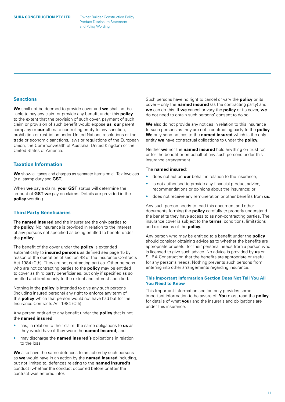# <span id="page-10-0"></span>**Sanctions**

**We** shall not be deemed to provide cover and **we** shall not be liable to pay any claim or provide any benefit under this **policy** to the extent that the provision of such cover, payment of such claim or provision of such benefit would expose **us**, **our** parent company or **our** ultimate controlling entity to any sanction, prohibition or restriction under United Nations resolutions or the trade or economic sanctions, laws or regulations of the European Union, the Commonwealth of Australia, United Kingdom or the United States of America.

# **Taxation Information**

**We** show all taxes and charges as separate items on all Tax Invoices (e.g. stamp duty and **GST**).

When **we** pay a claim, **your GST** status will determine the amount of **GST we** pay on claims. Details are provided in the **policy** wording.

# **Third Party Beneficiaries**

The **named insured** and the insurer are the only parties to the **policy**. No insurance is provided in relation to the interest of any persons not specified as being entitled to benefit under the **policy**.

The benefit of the cover under the **policy** is extended automatically to **insured persons** as defined see page 15 by reason of the operation of section 48 of the Insurance Contracts Act 1984 (Cth). They are not contracting parties. Other persons who are not contracting parties to the **policy** may be entitled to cover as third party beneficiaries, but only if specified as so entitled and limited only to the extent and interest specified.

Nothing in the **policy** is intended to give any such persons (including insured persons) any right to enforce any term of this **policy** which that person would not have had but for the Insurance Contracts Act 1984 (Cth).

Any person entitled to any benefit under the **policy** that is not the **named insured**:

- has, in relation to their claim, the same obligations to **us** as they would have if they were the **named insured**; and
- may discharge the **named insured's** obligations in relation to the loss.

**We** also have the same defences to an action by such persons as **we** would have in an action by the **named insured** including, but not limited to, defences relating to the **named insured's** conduct (whether the conduct occurred before or after the contract was entered into).

Such persons have no right to cancel or vary the **policy** or its cover – only the **named insured** (as the contracting party) and **we** can do this. If **we** cancel or vary the **policy** or its cover, **we** do not need to obtain such persons' consent to do so.

**We** also do not provide any notices in relation to this insurance to such persons as they are not a contracting party to the **policy**. **We** only send notices to the **named insured** which is the only entity **we** have contractual obligations to under the **policy**.

Neither **we** nor the **named insured** hold anything on trust for, or for the benefit or on behalf of any such persons under this insurance arrangement.

### The **named insured**:

- does not act on **our** behalf in relation to the insurance;
- is not authorised to provide any financial product advice, recommendations or opinions about the insurance; or
- does not receive any remuneration or other benefits from **us**.

Any such person needs to read this document and other documents forming the **policy** carefully to properly understand the benefits they have access to as non-contracting parties. The insurance cover is subject to the **terms**, conditions, limitations and exclusions of the **policy**.

Any person who may be entitled to a benefit under the **policy** should consider obtaining advice as to whether the benefits are appropriate or useful for their personal needs from a person who is licensed to give such advice. No advice is provided by **us** or SURA Construction that the benefits are appropriate or useful for any person's needs. Nothing prevents such persons from entering into other arrangements regarding insurance.

# **This Important Information Section Does Not Tell You All You Need to Know**

This Important Information section only provides some important information to be aware of. **You** must read the **policy** for details of what **your** and the insurer's and obligations are under this insurance.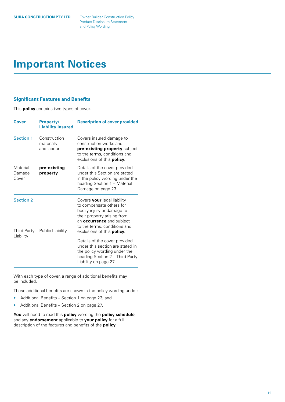# <span id="page-11-0"></span>**Important Notices**

# **Significant Features and Benefits**

This **policy** contains two types of cover.

| Cover                                  | <b>Property/</b><br><b>Liability Insured</b> | <b>Description of cover provided</b>                                                                                                                                                                                    |
|----------------------------------------|----------------------------------------------|-------------------------------------------------------------------------------------------------------------------------------------------------------------------------------------------------------------------------|
| Section 1                              | Construction<br>materials<br>and labour      | Covers insured damage to<br>construction works and<br>pre-existing property subject<br>to the terms, conditions and<br>exclusions of this <b>policy</b> .                                                               |
| Material<br>Damage<br>Cover            | pre-existing<br>property                     | Details of the cover provided<br>under this Section are stated<br>in the policy wording under the<br>heading Section 1 - Material<br>Damage on page 23.                                                                 |
| <b>Section 2</b><br><b>Third Party</b> | Public Liability                             | Covers your legal liability<br>to compensate others for<br>bodily injury or damage to<br>their property arising from<br>an occurrence and subject<br>to the terms, conditions and<br>exclusions of this <b>policy</b> . |
| Liability                              |                                              | Details of the cover provided<br>under this section are stated in<br>the policy wording under the<br>heading Section 2 - Third Party<br>Liability on page 27.                                                           |

With each type of cover, a range of additional benefits may be included.

These additional benefits are shown in the policy wording under:

- Additional Benefits Section 1 on page 23; and
- Additional Benefits Section 2 on page 27.

**You** will need to read this **policy** wording the **policy schedule**, and any **endorsement** applicable to **your policy** for a full description of the features and benefits of the **policy**.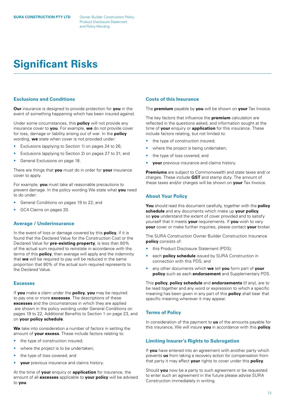# <span id="page-12-0"></span>**Significant Risks**

# **Exclusions and Conditions**

**Our** insurance is designed to provide protection for **you** in the event of something happening which has been insured against.

Under some circumstances, this **policy** will not provide any insurance cover to **you**. For example, **we** do not provide cover for loss, damage or liability arising out of war. In the **policy** wording, **we** state when cover is not provided under:

- Exclusions (applying to Section 1) on pages 24 to 26;
- Exclusions (applying to Section 2) on pages 27 to 31; and
- General Exclusions on page 18.

There are things that **you** must do in order for **your** insurance cover to apply.

For example, **you** must take all reasonable precautions to prevent damage. In the policy wording We state what **you** need to do under:

- General Conditions on pages 19 to 22; and
- GC4 Claims on pages 20.

# **Average / Underinsurance**

In the event of loss or damage covered by this **policy**, if it is found that the Declared Value for the Construction Cost or the Declared Value for **pre-existing property**, is less than 80% of the actual sum required to reinstate in accordance with the terms of this **policy**, then average will apply and the indemnity that **we** will be required to pay will be reduced in the same proportion that 80% of the actual sum required represents to the Declared Value.

# **Excesses**

If **you** make a claim under the **policy**, **you** may be required to pay one or more **excesses**. The descriptions of these **excesses** and the circumstances in which they are applied are shown in the policy wording under General Conditions on pages 19 to 22, Additional Benefits to Section 1 on page 23, and on **your policy schedule**.

**We** take into consideration a number of factors in setting the amount of **your excess**. These include factors relating to:

- the type of construction insured;
- where the project is to be undertaken;
- the type of loss covered; and
- **your** previous insurance and claims history.

At the time of **your** enquiry or **application** for insurance, the amount of all **excesses** applicable to **your policy** will be advised to **you**.

# **Costs of this Insurance**

The **premium** payable by **you** will be shown on **your** Tax Invoice.

The key factors that influence the **premium** calculation are reflected in the questions asked, and information sought at the time of **your** enquiry or **application** for this insurance. These include factors relating, but not limited to:

- the type of construction insured:
- where the project is being undertaken;
- the type of loss covered; and
- **your** previous insurance and claims history.

**Premiums** are subject to Commonwealth and state taxes and/ or charges. These include **GST** and stamp duty. The amount of these taxes and/or charges will be shown on **your** Tax Invoice.

# **About Your Policy**

**You** should read this document carefully, together with the **policy schedule** and any documents which make up **your policy**, so **you** understand the extent of cover provided and to satisfy yourself that it meets **your** requirements. If **you** wish to vary **your** cover or make further inquiries, please contact **your** broker.

The SURA Construction Owner Builder Construction Insurance **policy** consists of:

- this Product Disclosure Statement (PDS);
- each **policy schedule** issued by SURA Construction in connection with this PDS; and
- any other documents which **we** tell **you** form part of **your policy** such as each **endorsement** and Supplementary PDS.

This **policy**, **policy schedule** and **endorsements** (if any), are to be read together and any word or expression to which a specific meaning has been given in any part of this **policy** shall bear that specific meaning wherever it may appear.

# **Terms of Policy**

In consideration of the payment to **us** of the amounts payable for this insurance, We will insure **you** in accordance with this **policy**.

# **Limiting Insurer's Rights to Subrogation**

If **you** have entered into an agreement with another party which prevents **us** from taking a recovery action for compensation from that party it may affect **your** rights to cover under this **policy**.

Should **you** now be a party to such agreement or be requested to enter such an agreement in the future please advise SURA Construction immediately in writing.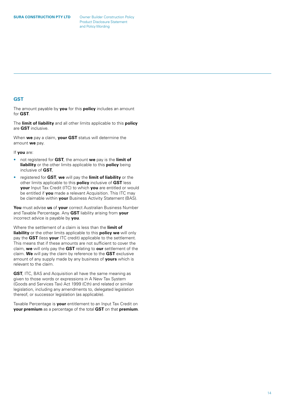# <span id="page-13-0"></span>**GST**

The amount payable by **you** for this **policy** includes an amount for **GST**.

The **limit of liability** and all other limits applicable to this **policy** are **GST** inclusive.

When **we** pay a claim, **your GST** status will determine the amount **we** pay.

If **you** are:

- not registered for **GST**, the amount **we** pay is the **limit of liability** or the other limits applicable to this **policy** being inclusive of **GST**,
- registered for **GST**, **we** will pay the **limit of liability** or the other limits applicable to this **policy** inclusive of **GST** less **your** Input Tax Credit (ITC) to which **you** are entitled or would be entitled if **you** made a relevant Acquisition. This ITC may be claimable within **your** Business Activity Statement (BAS).

**You** must advise **us** of **your** correct Australian Business Number and Taxable Percentage. Any **GST** liability arising from **your** incorrect advice is payable by **you**.

Where the settlement of a claim is less than the **limit of liability** or the other limits applicable to this **policy we** will only pay the **GST** (less **your** ITC credit) applicable to the settlement. This means that if these amounts are not sufficient to cover the claim, **we** will only pay the **GST** relating to **our** settlement of the claim. **We** will pay the claim by reference to the **GST** exclusive amount of any supply made by any business of **yours** which is relevant to the claim.

**GST**, ITC, BAS and Acquisition all have the same meaning as given to those words or expressions in A New Tax System (Goods and Services Tax) Act 1999 (Cth) and related or similar legislation, including any amendments to, delegated legislation thereof, or successor legislation (as applicable).

Taxable Percentage is **your** entitlement to an Input Tax Credit on **your premium** as a percentage of the total **GST** on that **premium**.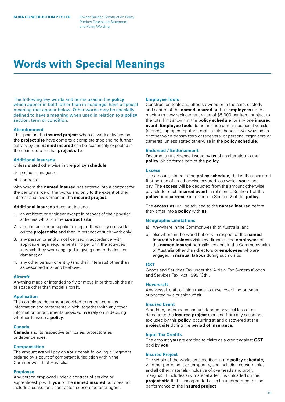# <span id="page-14-0"></span>**Words with Special Meanings**

The following key words and terms used in the **policy** which appear in bold (other than in headings) have a special meaning that appear below. Other words may be specially defined to have a meaning when used in relation to a **policy** section, term or condition.

#### **Abandonment**

That point in the **insured project** when all work activities on the **project site** have come to a complete stop and no further activity by the **named insured** can be reasonably expected in the near future on that **project site**.

#### **Additional Insureds**

Unless stated otherwise in the **policy schedule**:

- a) project manager; or
- b) contractor

with whom the **named insured** has entered into a contract for the performance of the works and only to the extent of their interest and involvement in the **insured project**.

# **Additional insureds** does not include:

- 1. an architect or engineer except in respect of their physical activities whilst on the **contract site**;
- 2. a manufacturer or supplier except if they carry out work on the **project site** and then in respect of such work only;
- 3. any person or entity, not licensed in accordance with applicable legal requirements, to perform the activities in which they were engaged in giving rise to the loss or damage; or
- 4. any other person or entity (and their interests) other than as described in a) and b) above.

#### **Aircraft**

Anything made or intended to fly or move in or through the air or space other than model aircraft.

# **Application**

The completed document provided to **us** that contains information and statements which, together with any other information or documents provided, **we** rely on in deciding whether to issue a **policy**.

# **Canada**

**Canada** and its respective territories, protectorates or dependencies.

# **Compensation**

The amount **we** will pay on **your** behalf following a judgment ordered by a court of competent jurisdiction within the Commonwealth of Australia.

#### **Employee**

Any person employed under a contract of service or apprenticeship with **you** or the **named insured** but does not include a consultant, contractor, subcontractor or agent.

# **Employee Tools**

Construction tools and effects owned or in the care, custody and control of the **named insured** or their **employees** up to a maximum new replacement value of \$5,000 per item, subject to the total limit shown in the **policy schedule** for any one **insured event**. **Employee tools** do not include unmanned aerial vehicles (drones), laptop computers, mobile telephones, two- way radios or other voice transmitters or receivers, or personal organisers or cameras, unless stated otherwise in the **policy schedule**.

#### **Endorsed / Endorsement**

Documentary evidence issued by **us** of an alteration to the **policy** which forms part of the **policy**.

#### **Excess**

The amount, stated in the **policy schedule**, that is the uninsured first portion of an otherwise covered loss which **you** must pay. The **excess** will be deducted from the amount otherwise payable for each **insured event** in relation to Section 1 of the **policy** or **occurrence** in relation to Section 2 of the **policy**.

The **excess(es)** will be advised to the **named insured** before they enter into a **policy** with **us**.

#### **Geographic Limitations**

- a) Anywhere in the Commonwealth of Australia, and
- b) elsewhere in the world but only in respect of the **named insured's business** visits by directors and **employees** of the **named insured** normally resident in the Commonwealth of Australia other than directors or **employees** who are engaged in **manual labour** during such visits.

#### **GST**

Goods and Services Tax under the A New Tax System (Goods and Services Tax) Act 1999 (Cth).

# **Hovercraft**

Any vessel, craft or thing made to travel over land or water, supported by a cushion of air.

#### **Insured Event**

A sudden, unforeseen and unintended physical loss of or damage to the **insured project** resulting from any cause not excluded by this **policy**, occurring at and discovered at the **project site** during the **period of insurance**.

#### **Input Tax Credits**

The amount **you** are entitled to claim as a credit against **GST** paid by **you**.

### **Insured Project**

The whole of the works as described in the **policy schedule**, whether permanent or temporary, and including consumables and all other materials (inclusive of overheads and profit margins). It includes any material after it is unloaded on the **project site** that is incorporated or to be incorporated for the performance of the **insured project**.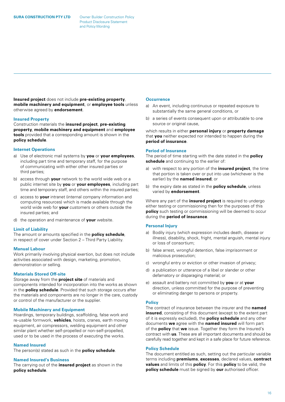Product Disclosure Statement and Policy Wording

**Insured project** does not include **pre-existing property**, **mobile machinery and equipment**, or **employee tools** unless otherwise agreed by **endorsement**.

#### **Insured Property**

Construction materials the **insured project**, **pre-existing property**, **mobile machinery and equipment** and **employee tools** provided that a corresponding amount is shown in the **policy schedule**.

# **Internet Operations**

- a) Use of electronic mail systems by **you** or **your employees**, including part time and temporary staff, for the purpose of communicating with either other insured parties or third parties;
- b) access through **your** network to the world wide web or a public internet site by **you** or **your employees**, including part time and temporary staff, and others within the insured parties;
- c) access to **your** intranet (internal company information and computing resources) which is made available through the world wide web for **your** customers or others outside the insured parties; and
- d) the operation and maintenance of **your** website.

#### **Limit of Liability**

The amount or amounts specified in the **policy schedule**, in respect of cover under Section 2 – Third Party Liability.

#### **Manual Labour**

Work primarily involving physical exertion, but does not include activities associated with design, marketing, promotion, demonstration or selling.

#### **Materials Stored Off-site**

Storage away from the **project site** of materials and components intended for incorporation into the works as shown in the **policy schedule**. Provided that such storage occurs after the materials and components are no longer in the care, custody or control of the manufacturer or the supplier.

#### **Mobile Machinery and Equipment**

Hoardings, temporary buildings, scaffolding, false work and re-usable formwork, **vehicles**, hoists, cranes, earth moving equipment, air compressors, welding equipment and other similar plant whether self-propelled or non-self-propelled, used or to be used in the process of executing the works.

#### **Named Insured**

The person(s) stated as such in the **policy schedule**.

# **Named Insured's Business**

The carrying out of the **insured project** as shown in the **policy schedule**.

#### **Occurrence**

- a) An event, including continuous or repeated exposure to substantially the same general conditions, or
- b) a series of events consequent upon or attributable to one source or original cause,

which results in either **personal injury** or **property damage** that **you** neither expected nor intended to happen during the **period of insurance**.

### **Period of Insurance**

The period of time starting with the date stated in the **policy schedule** and continuing to the earlier of:

- a) with respect to any portion of the **insured project**, the time that portion is taken over or put into use (whichever is the earlier) by the **named insured**; or
- b) the expiry date as stated in the **policy schedule**, unless varied by **endorsement**.

Where any part of the **insured project** is required to undergo either testing or commissioning then for the purposes of this **policy** such testing or commissioning will be deemed to occur during the **period of insurance**.

#### **Personal Injury**

- a) Bodily injury (which expression includes death, disease or illness), disability, shock, fright, mental anguish, mental injury or loss of consortium;
- b) false arrest, wrongful detention, false imprisonment or malicious prosecution;
- c) wrongful entry or eviction or other invasion of privacy;
- d) a publication or utterance of a libel or slander or other defamatory or disparaging material; or
- e) assault and battery not committed by **you** or at **your** direction, unless committed for the purpose of preventing or eliminating danger to persons or property.

#### **Policy**

The contract of insurance between the insurer and the **named insured**, consisting of this document (except to the extent part of it is expressly excluded), the **policy schedule** and any other documents **we** agree with the **named insured** will form part of the **policy** that **we** issue. Together they form the Insured's contract with **us**. These are all important documents and should be carefully read together and kept in a safe place for future reference.

#### **Policy Schedule**

The document entitled as such, setting out the particular variable terms including **premiums**, **excesses**, declared values, **contract values** and limits of this **policy**. For this **policy** to be valid, the **policy schedule** must be signed by **our** authorised officer.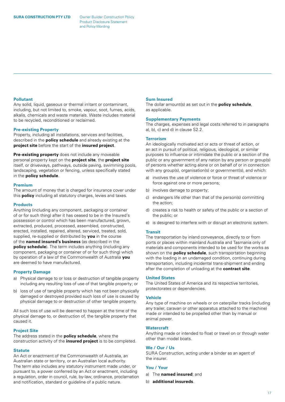#### **Pollutant**

Any solid, liquid, gaseous or thermal irritant or contaminant, including, but not limited to, smoke, vapour, soot, fumes, acids, alkalis, chemicals and waste materials. Waste includes material to be recycled, reconditioned or reclaimed.

# **Pre-existing Property**

Property, including all installations, services and facilities, described in the **policy schedule** and already existing at the **project site** before the start of the **insured project**.

**Pre-existing property** does not include any moveable personal property kept on the **project site**, the **project site** itself, or driveways, pathways, outside paving, swimming pools, landscaping, vegetation or fencing, unless specifically stated in the **policy schedule**.

### **Premium**

The amount of money that is charged for insurance cover under this **policy** including all statutory charges, levies and taxes.

#### **Products**

Anything (including any component, packaging or container of or for such thing) after it has ceased to be in the Insured's possession or control which has been manufactured, grown, extracted, produced, processed, assembled, constructed, erected, installed, repaired, altered, serviced, treated, sold, supplied, re-supplied or distributed by **you** in the course of the **named insured's business** (as described in the **policy schedule**). The term includes anything (including any component, packaging or container of or for such thing) which by operation of a law of the Commonwealth of Australia **you** are deemed to have manufactured.

# **Property Damage**

- a) Physical damage to or loss or destruction of tangible property including any resulting loss of use of that tangible property; or
- b) loss of use of tangible property which has not been physically damaged or destroyed provided such loss of use is caused by physical damage to or destruction of other tangible property.

All such loss of use will be deemed to happen at the time of the physical damage to, or destruction of, the tangible property that caused it.

#### **Project Site**

The address stated in the **policy schedule**, where the construction activity of the **insured project** is to be completed.

#### **Statute**

An Act or enactment of the Commonwealth of Australia, an Australian state or territory, or an Australian local authority. The term also includes any statutory instrument made under, or pursuant to, a power conferred by an Act or enactment, including a regulation, order in council, rule, by-law, ordinance, proclamation and notification, standard or quideline of a public nature.

# **Sum Insured**

The dollar amount(s) as set out in the **policy schedule**, as applicable.

#### **Supplementary Payments**

The charges, expenses and legal costs referred to in paragraphs a), b), c) and d) in clause S2.2.

#### **Terrorism**

An ideologically motivated act or acts or threat of action, or an act in pursuit of political, religious, ideological, or similar purposes to influence or intimidate the public or a section of the public or any government of any nation by any person or group(s) of persons whether acting alone or on behalf of or in connection with any group(s), organisation(s) or government(s), and which:

- a) involves the use of violence or force or threat of violence or force against one or more persons;
- b) involves damage to property;
- c) endangers life other than that of the person(s) committing the action;
- d) creates a risk to health or safety of the public or a section of the public; or
- e) is designed to interfere with or disrupt an electronic system.

#### **Transit**

The transportation by inland conveyance, directly to or from ports or places within mainland Australia and Tasmania only of materials and components intended to be used for the works as shown on the **policy schedule**, such transportation beginning with the loading in an undamaged condition, continuing during transportation, including incidental trans-shipment and ending after the completion of unloading at the **contract site**.

#### **United States**

The United States of America and its respective territories, protectorates or dependencies.

#### **Vehicle**

Any type of machine on wheels or on caterpillar tracks (including any trailer, caravan or other apparatus attached to the machine) made or intended to be propelled other than by manual or animal power.

# **Watercraft**

Anything made or intended to float or travel on or through water other than model boats.

# **We / Our / Us**

SURA Construction, acting under a binder as an agent of the insurer.

# **You / Your**

- a) The **named insured**; and
- b) **additional insureds**.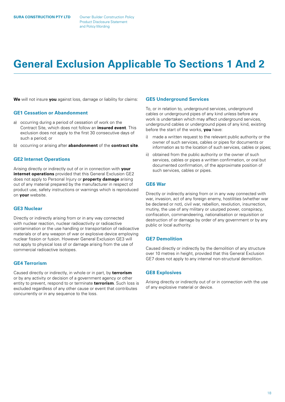Product Disclosure Statement and Policy Wording

# <span id="page-17-0"></span>**General Exclusion Applicable To Sections 1 And 2**

**We** will not insure **you** against loss, damage or liability for claims:

# **GE1 Cessation or Abandonment**

- a) occurring during a period of cessation of work on the Contract Site, which does not follow an **insured event**. This exclusion does not apply to the first 30 consecutive days of such a period; or
- b) occurring or arising after **abandonment** of the **contract site**.

# **GE2 Internet Operations**

Arising directly or indirectly out of or in connection with **your internet operations** provided that this General Exclusion GE2 does not apply to Personal Injury or **property damage** arising out of any material prepared by the manufacturer in respect of product use, safety instructions or warnings which is reproduced on **your** website.

# **GE3 Nuclear**

Directly or indirectly arising from or in any way connected with nuclear reaction, nuclear radioactivity or radioactive contamination or the use handling or transportation of radioactive materials or of any weapon of war or explosive device employing nuclear fission or fusion. However General Exclusion GE3 will not apply to physical loss of or damage arising from the use of commercial radioactive isotopes.

# **GE4 Terrorism**

Caused directly or indirectly, in whole or in part, by **terrorism** or by any activity or decision of a government agency or other entity to prevent, respond to or terminate **terrorism**. Such loss is excluded regardless of any other cause or event that contributes concurrently or in any sequence to the loss.

# **GE5 Underground Services**

To, or in relation to, underground services, underground cables or underground pipes of any kind unless before any work is undertaken which may affect underground services, underground cables or underground pipes of any kind, existing before the start of the works, **you** have:

- i) made a written request to the relevant public authority or the owner of such services, cables or pipes for documents or information as to the location of such services, cables or pipes;
- ii) obtained from the public authority or the owner of such services, cables or pipes a written confirmation, or oral but documented confirmation, of the approximate position of such services, cables or pipes.

# **GE6 War**

Directly or indirectly arising from or in any way connected with war, invasion, act of any foreign enemy, hostilities (whether war be declared or not), civil war, rebellion, revolution, insurrection, mutiny, the use of any military or usurped power, conspiracy, confiscation, commandeering, nationalisation or requisition or destruction of or damage by order of any government or by any public or local authority.

# **GE7 Demolition**

Caused directly or indirectly by the demolition of any structure over 10 metres in height, provided that this General Exclusion GE7 does not apply to any internal non-structural demolition.

#### **GE8 Explosives**

Arising directly or indirectly out of or in connection with the use of any explosive material or device.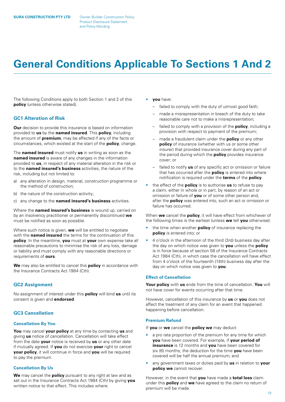# <span id="page-18-0"></span>**General Conditions Applicable To Sections 1 And 2**

The following Conditions apply to both Section 1 and 2 of this **policy** (unless otherwise stated).

# **GC1 Alteration of Risk**

**Our** decision to provide this insurance is based on information provided to **us** by the **named insured**. This **policy**, including the amount of **premium**, may be affected if any of the facts or circumstances, which existed at the start of the **policy**, change.

The **named insured** must notify **us** in writing as soon as the **named insured** is aware of any changes in the information provided to **us**, in respect of any material alteration in the risk or to the **named insured's business** activities, the nature of the risk, including but not limited to:

- a) any alteration in design, material, construction programme or the method of construction;
- b) the nature of the construction activity;
- c) any change to the **named insured's business** activities.

Where the **named insured's business** is wound up, carried on by an insolvency practitioner or permanently discontinued **we** must be notified as soon as possible.

Where such notice is given, **we** will be entitled to negotiate with the **named insured** the terms for the continuation of this **policy**. In the meantime, **you** must at **your** own expense take all reasonable precautions to minimise the risk of any loss, damage or liability and must comply with any reasonable directions or requirements of **ours**.

**We** may also be entitled to cancel this **policy** in accordance with the Insurance Contracts Act 1984 (Cth).

# **GC2 Assignment**

No assignment of interest under this **policy** will bind **us** until its consent is given and **endorsed**.

# **GC3 Cancellation**

#### **Cancellation By You**

**You** may cancel **your policy** at any time by contacting **us** and giving **us** notice of cancellation. Cancellation will take effect from the date **your** notice is received by **us** or any other date if mutually agreed. If **you** do not exercise **your** right to cancel **your policy**, it will continue in force and **you** will be required to pay the premium.

# **Cancellation By Us**

**We** may cancel the **policy** pursuant to any right at law and as set out in the Insurance Contracts Act 1984 (Cth) by giving **you** written notice to that effect. This includes where:

- **you** have:
	- failed to comply with the duty of utmost good faith;
	- made a misrepresentation in breach of the duty to take reasonable care not to make a misrepresentation;
	- failed to comply with a provision of the **policy**, including a provision with respect to payment of the premium;
	- made a fraudulent claim under the **policy** or any other **policy** of insurance (whether with us or some other insurer) that provided insurance cover during any part of the period during which the **policy** provides insurance cover; or
	- failed to notify **us** of any specific act or omission or failure that has occurred after the **policy** is entered into where notification is required under the **terms** of the **policy**.
- the effect of the **policy** is to authorise **us** to refuse to pay a claim, either in whole or in part, by reason of an act or omission or failure of **you** or of some other person and, after the **policy** was entered into, such an act or omission or failure has occurred.

When **we** cancel the **policy**, it will have effect from whichever of the following times is the earliest (unless **we** tell **you** otherwise):

- the time when another **policy** of insurance replacing the **policy** is entered into; or
- 4 o'clock in the afternoon of the third (3rd) business day after the day on which notice was given to **you** unless the **policy** is in force because of section 58 of the Insurance Contracts Act 1984 (Cth), in which case the cancellation will have effect from 4 o'clock of the fourteenth (14th) business day after the day on which notice was given to **you**.

### **Effect of Cancellation**

**Your policy** with **us** ends from the time of cancellation. **You** will not have cover for events occurring after that time.

However, cancellation of this insurance by **us** or **you** does not affect the treatment of any claim for an event that happened happening before cancellation.

# **Premium Refund**

If **you** or **we** cancel the **policy we** may deduct:

- a pro rata proportion of the premium for any time for which **you** have been covered. For example, if **your period of insurance** is 12 months and **you** have been covered for six (6) months, the deduction for the time **you** have been covered will be half the annual premium; and
- any government taxes or duties paid by **us** in relation to **your policy we** cannot recover.

However, in the event that **you** have made a **total loss** claim under this **policy** and **we** have agreed to the claim no return of premium will be made.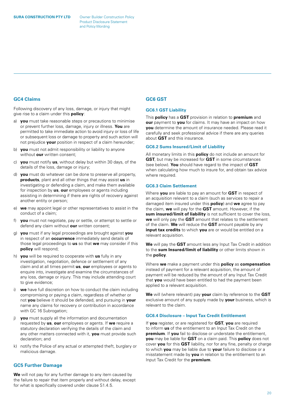Product Disclosure Statement and Policy Wording

# **GC4 Claims**

Following discovery of any loss, damage, or injury that might give rise to a claim under this **policy**:

- a) **you** must take reasonable steps or precautions to minimise or prevent further loss, damage, injury or illness. **You** are permitted to take immediate action to avoid injury or loss of life or subsequent loss or damage to property and such action will not prejudice **your** position in respect of a claim hereunder;
- b) **you** must not admit responsibility or liability to anyone without **our** written consent;
- c) **you** must notify **us**, without delay but within 30 days, of the details of the loss, damage or injury;
- d) **you** must do whatever can be done to preserve all property, **products**, plant and all other things that may assist **us** in investigating or defending a claim, and make them available for inspection by **us**, **our** employees or agents including assisting in determining if there are rights of recovery against another entity or person;
- e) **we** may appoint legal or other representatives to assist in the conduct of a claim;
- f) **you** must not negotiate, pay or settle, or attempt to settle or defend any claim without **our** written consent;
- g) **you** must if any legal proceedings are brought against **you** in respect of an **occurrence** immediately send details of those legal proceedings to **us** so that **we** may consider if this **policy** will respond;
- h) **you** will be required to cooperate with **us** fully in any investigation, negotiation, defence or settlement of any claim and at all times permit **us**, **our** employees or agents to enquire into, investigate and examine the circumstances of any loss, damage or injury. This may include attending court to give evidence;
- i) **we** have full discretion on how to conduct the claim including compromising or paying a claim, regardless of whether or not **you** believe it should be defended, and pursuing in **your** name any claims for recovery or contribution in accordance with GC 16 Subrogation;
- j) **you** must supply all the information and documentation requested by **us**, **our** employees or agents. If **we** require a statutory declaration verifying the details of the claim and any other matters connected with it, **you** must provide such declaration; and
- k) notify the Police of any actual or attempted theft, burglary or malicious damage.

# **GC5 Further Damage**

**We** will not pay for any further damage to any item caused by the failure to repair that item properly and without delay, except for what is specifically covered under clause S1.4.5.

# **GC6 GST**

### **GC6.1 GST Liability**

This **policy** has a **GST** provision in relation to **premium** and **our** payment to **you** for claims. It may have an impact on how **you** determine the amount of insurance needed. Please read it carefully and seek professional advice if there are any queries about **GST** and this insurance.

# **GC6.2 Sums Insured/Limit of Liability**

All monetary limits in this **policy** do not include an amount for **GST**, but may be increased for **GST** in some circumstances (see below). **You** should have regard to the impact of **GST** when calculating how much to insure for, and obtain tax advice where required.

# **GC6.3 Claim Settlement**

Where **you** are liable to pay an amount for **GST** in respect of an acquisition relevant to a claim (such as services to repair a damaged item insured under this **policy**) and **we** agree to pay the claim, **we** will pay for the **GST** amount. However, if the **sum insured/limit of liability** is not sufficient to cover the loss, **we** will only pay the **GST** amount that relates to the settlement of the claim. **We** will reduce the **GST** amount payable by any **input tax credits** to which you are or would be entitled on a relevant acquisition.

**We** will pay the **GST** amount less any Input Tax Credit in addition to the **sum Insured/limit of liability** or other limits shown in the **policy**.

Where **we** make a payment under this **policy** as **compensation** instead of payment for a relevant acquisition, the amount of payment will be reduced by the amount of any Input Tax Credit that **you** would have been entitled to had the payment been applied to a relevant acquisition.

**We** will (where relevant) pay **your** claim by reference to the **GST** exclusive amount of any supply made by **your** business, which is relevant to the claim.

# **GC6.4 Disclosure – Input Tax Credit Entitlement**

If **you** register, or are registered for **GST**, **you** are required to inform **us** of the entitlement to an Input Tax Credit on the **premium**. If **you** fail to disclose or understate the entitlement, **you** may be liable for **GST** on a claim paid. This **policy** does not cover **you** for this **GST** liability, nor for any fine, penalty or charge to which **you** may be liable due to **your** failure to disclose or a misstatement made by **you** in relation to the entitlement to an Input Tax Credit for the **premium**.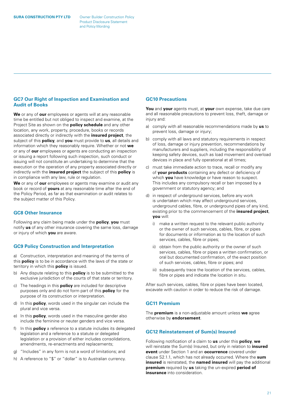# **GC7 Our Right of Inspection and Examination and Audit of Books**

**We** or any of **our** employees or agents will at any reasonable time be entitled but not obliged to inspect and examine, at the Project Site as shown on the **policy schedule** and any other location, any work, property, procedure, books or records associated directly or indirectly with the **insured project**, the subject of this **policy**, and **you** must provide to **us**, all details and information which they reasonably require. Whether or not **we** or any of **our** employees or agents are conducting an inspection or issuing a report following such inspection, such conduct or issuing will not constitute an undertaking to determine that the execution or the operation of any property associated directly or indirectly with the **insured project** the subject of this **policy** is in compliance with any law, rule or regulation.

**We** or any of **our** employees or agents may examine or audit any book or record of **yours** at any reasonable time after the end of the Policy Period, as far as that examination or audit relates to the subject matter of this Policy.

# **GC8 Other Insurance**

Following any claim being made under the **policy**, **you** must notify **us** of any other insurance covering the same loss, damage or injury of which **you** are aware.

# **GC9 Policy Construction and Interpretation**

a) Construction, interpretation and meaning of the terms of this **policy** is to be in accordance with the laws of the state or territory in which this **policy** is issued.

- b) Any dispute relating to this **policy** is to be submitted to the exclusive jurisdiction of the courts of that state or territory.
- c) The headings in this **policy** are included for descriptive purposes only and do not form part of this **policy** for the purpose of its construction or interpretation.
- d) In this **policy**, words used in the singular can include the plural and vice versa.
- e) In this **policy**, words used in the masculine gender also include the feminine or neuter genders and vice versa.
- f) In this **policy** a reference to a statute includes its delegated legislation and a reference to a statute or delegated legislation or a provision of either includes consolidations, amendments, re-enactments and replacements;
- g) "Includes" in any form is not a word of limitations; and
- h) A reference to "\$" or "dollar" is to Australian currency.

# **GC10 Precautions**

**You** and **your** agents must, at **your** own expense, take due care and all reasonable precautions to prevent loss, theft, damage or injury and:

- a) comply with all reasonable recommendations made by **us** to prevent loss, damage or injury;
- b) comply with all laws and statutory requirements in respect of loss, damage or injury prevention, recommendations by manufacturers and suppliers, including the responsibility of keeping safety devices, such as load movement and overload devices in place and fully operational at all times;
- c) must take immediate action to trace, recall or modify any of **your products** containing any defect or deficiency of which **you** have knowledge or have reason to suspect. This includes any compulsory recall or ban imposed by a government or statutory agency; and
- d) in respect of underground services, before any work is undertaken which may affect underground services, underground cables, fibre, or underground pipes of any kind, existing prior to the commencement of the **insured project**, **you** will:
	- i) make a written request to the relevant public authority or the owner of such services, cables, fibre, or pipes for documents or information as to the location of such services, cables, fibre or pipes;
	- ii) obtain from the public authority or the owner of such services, cables, fibre or pipes a written confirmation, or oral but documented confirmation, of the exact position of such services, cables, fibre or pipes; and
	- iii) subsequently trace the location of the services, cables, fibre or pipes and indicate the location in situ.

After such services, cables, fibre or pipes have been located, excavate with caution in order to reduce the risk of damage.

# **GC11 Premium**

The **premium** is a non-adjustable amount unless **we** agree otherwise by **endorsement**.

# **GC12 Reinstatement of Sum(s) Insured**

Following notification of a claim to **us** under this **policy**, **we** will reinstate the Sum(s) Insured, but only in relation to **insured event** under Section 1 and an **occurrence** covered under clause S2.1.1, which has not already occurred. Where the **sum insured** is reinstated, the **named insured** will pay the additional **premium** required by **us** taking the un-expired **period of insurance** into consideration.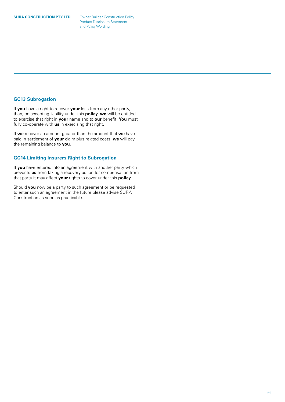# **GC13 Subrogation**

If **you** have a right to recover **your** loss from any other party, then, on accepting liability under this **policy**, **we** will be entitled to exercise that right in **your** name and to **our** benefit. **You** must fully co-operate with **us** in exercising that right.

If **we** recover an amount greater than the amount that **we** have paid in settlement of **your** claim plus related costs, **we** will pay the remaining balance to **you**.

# **GC14 Limiting Insurers Right to Subrogation**

If **you** have entered into an agreement with another party which prevents **us** from taking a recovery action for compensation from that party it may affect **your** rights to cover under this **policy**.

Should **you** now be a party to such agreement or be requested to enter such an agreement in the future please advise SURA Construction as soon as practicable.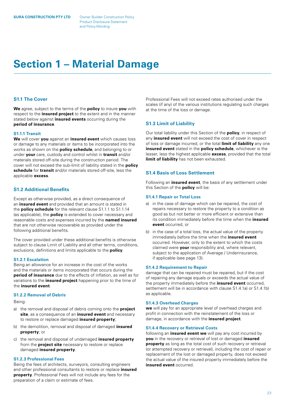# <span id="page-22-0"></span>**Section 1 – Material Damage**

# **S1.1 The Cover**

**We** agree, subject to the terms of the **policy** to insure **you** with respect to the **insured project** to the extent and in the manner stated below against **insured events** occurring during the **period of insurance**.

# **S1.1.1 Transit**

**We** will cover **you** against an **insured event** which causes loss or damage to any materials or items to be incorporated into the works as shown on the **policy schedule**, and belonging to or under **your** care, custody and control whilst in **transit** and/or materials stored off-site during the construction period. The cover will not exceed the sub-limit of liability stated in the **policy schedule** for **transit** and/or materials stored off-site, less the applicable **excess**.

# **S1.2 Additional Benefits**

Except as otherwise provided, as a direct consequence of an **insured event** and provided that an amount is stated in the **policy schedule** for the relevant clause S1.1.1 to S1.1.14 (as applicable), the **policy** is extended to cover necessary and reasonable costs and expenses incurred by the **named insured** that are not otherwise recoverable as provided under the following additional benefits.

The cover provided under these additional benefits is otherwise subject to clause Limit of Liability and all other terms, conditions, exclusions, definitions and limits applicable to the **policy**.

# **S1.2.1 Escalation**

Being an allowance for an increase in the cost of the works and the materials or items incorporated that occurs during the **period of insurance** due to the effects of inflation, as well as for variations to the **insured project** happening prior to the time of the **insured event**.

# **S1.2.2 Removal of Debris**

Being:

- a) the removal and disposal of debris coming onto the **project site**, as a consequence of an **insured event** and necessary to restore or replace damaged **insured property**;
- b) the demolition, removal and disposal of damaged **insured property**; or
- c) the removal and disposal of undamaged **insured property** from the **project site** necessary to restore or replace damaged **insured property**.

# **S1.2.3 Professional Fees**

Being the fees of architects, surveyors, consulting engineers and other professional consultants to restore or replace **insured property**. Professional Fees will not include any fees for the preparation of a claim or estimate of fees.

Professional Fees will not exceed rates authorised under the scales (if any) of the various institutions regulating such charges at the time of the loss or damage.

# **S1.3 Limit of Liability**

Our total liability under this Section of the **policy**, in respect of any **insured event** will not exceed the cost of cover in respect of loss or damage incurred, or the total **limit of liability** any one **insured event** stated in the **policy schedule**, whichever is the lesser, less the highest applicable **excess**, provided that the total **limit of liability** has not been exhausted.

# **S1.4 Basis of Loss Settlement**

Following an **insured event**, the basis of any settlement under this Section of the **policy** will be:

# **S1.4.1 Repair or Total Loss**

- a) in the case of damage which can be repaired, the cost of repairs necessary to restore the property to a condition as good as but not better or more efficient or extensive than its condition immediately before the time when the **insured event** occurred, or
- b) in the case of a total loss, the actual value of the property immediately before the time when the **insured event** occurred. However, only to the extent to which the costs claimed were **your** responsibility and, where relevant, subject to the application of Average / Underinsurance, if applicable (see page 13).

#### **S1.4.2 Requirement to Repair**

damage that can be repaired must be repaired, but if the cost of repairing any damage equals or exceeds the actual value of the property immediately before the **insured event** occurred, settlement will be in accordance with clause S1.4.1a) or S1.4.1b) as applicable.

#### **S1.4.3 Overhead Charges**

**we** will pay for an appropriate level of overhead charges and profit in connection with the reinstatement of the loss or damage, in accordance with the **insured project**.

#### **S1.4.4 Recovery or Retrieval Costs**

following an **insured event we** will pay any cost incurred by **you** in the recovery or retrieval of lost or damaged **insured property** as long as the total cost of such recovery or retrieval (or attempted recovery or retrieval), including the cost of repair or replacement of the lost or damaged property, does not exceed the actual value of the insured property immediately before the **insured event** occurred.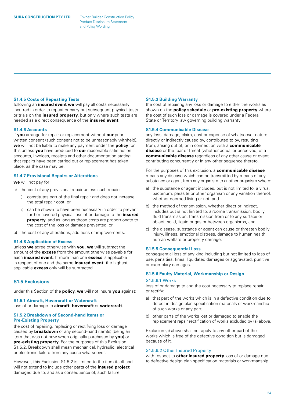#### <span id="page-23-0"></span>**S1.4.5 Costs of Repeating Tests**

following an **insured event we** will pay all costs necessarily incurred in order to repeat or carry out subsequent physical tests or trials on the **insured property**, but only where such tests are needed as a direct consequence of the **insured event**.

#### **S1.4.6 Accounts**

if **you** arrange for repair or replacement without **our** prior written consent (such consent not to be unreasonably withheld), **we** will not be liable to make any payment under the **policy** for this unless **you** have produced to **our** reasonable satisfaction accounts, invoices, receipts and other documentation stating that repairs have been carried out or replacement has taken place, as the case may be.

# **S1.4.7 Provisional Repairs or Alterations**

**we** will not pay for:

- a) the cost of any provisional repair unless such repair:
	- i) constitutes part of the final repair and does not increase the total repair cost; or
	- ii) can be shown to have been necessary in order to prevent further covered physical loss of or damage to the **insured property**, and as long as those costs are proportionate to the cost of the loss or damage prevented; or
- b) the cost of any alterations, additions or improvements.

#### **S1.4.8 Application of Excess**

unless **we** agree otherwise with **you**, **we** will subtract the amount of the **excess** from the amount otherwise payable for each **insured event**. If more than one **excess** is applicable in respect of one and the same **insured event**, the highest applicable **excess** only will be subtracted.

# **S1.5 Exclusions**

under this Section of the **policy**, **we** will not insure **you** against:

# **S1.5.1 Aircraft, Hovercraft or Watercraft** loss of or damage to **aircraft**, **hovercraft** or **watercraft**.

# **S1.5.2 Breakdown of Second-hand Items or Pre-Existing Property**

the cost of repairing, replacing or rectifying loss or damage caused by **breakdown** of any second-hand item(s) (being an item that was not new when originally purchased by **you**) or **pre-existing property**. For the purposes of this Exclusion S1.5.2. Breakdown shall mean mechanical, hydraulic, electrical or electronic failure from any cause whatsoever.

However, this Exclusion S1.5.2 is limited to the item itself and will not extend to include other parts of the **insured project** damaged due to, and as a consequence of, such failure.

#### **S1.5.3 Building Warranty**

the cost of repairing any loss or damage to either the works as shown on the **policy schedule** or **pre-existing property** where the cost of such loss or damage is covered under a Federal, State or Territory law governing building warranty.

#### **S1.5.4 Communicable Disease**

any loss, damage, claim, cost or expense of whatsoever nature directly or indirectly caused by, contributed to by, resulting from, arising out of, or in connection with a **communicable disease** or the fear or threat (whether actual or perceived) of a **communicable disease** regardless of any other cause or event contributing concurrently or in any other sequence thereto.

For the purposes of this exclusion, a **communicable disease** means any disease which can be transmitted by means of any substance or agent from any organism to another organism where:

- a) the substance or agent includes, but is not limited to, a virus, bacterium, parasite or other organism or any variation thereof, whether deemed living or not, and
- b) the method of transmission, whether direct or indirect, includes but is not limited to, airborne transmission, bodily fluid transmission, transmission from or to any surface or object, solid, liquid or gas or between organisms, and
- c) the disease, substance or agent can cause or threaten bodily injury, illness, emotional distress, damage to human health, human welfare or property damage.

#### **S1.5.5 Consequential Loss**

consequential loss of any kind including but not limited to loss of use, penalties, fines, liquidated damages or aggravated, punitive or exemplary damages.

# **S1.5.6 Faulty Material, Workmanship or Design**

# S1.5.6.1 Works

loss of or damage to and the cost necessary to replace repair or rectify:

- a) that part of the works which is in a defective condition due to defect in design plan specification materials or workmanship of such works or any part;
- b) other parts of the works lost or damaged to enable the replacement repair rectification of works excluded by (a) above.

Exclusion (a) above shall not apply to any other part of the works which is free of the defective condition but is damaged because of it.

### S1.5.6.2 Other Insured Property

with respect to **other insured property** loss of or damage due to defective design plan specification materials or workmanship.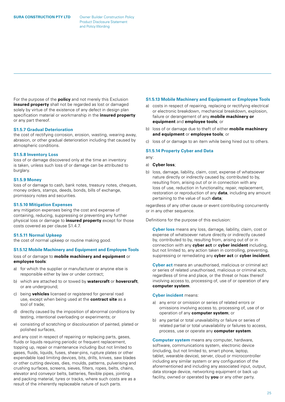For the purpose of the **policy** and not merely this Exclusion **insured property** shall not be regarded as lost or damaged solely by virtue of the existence of any defect in design plan specification material or workmanship in the **insured property** or any part thereof.

#### **S1.5.7 Gradual Deterioration**

the cost of rectifying corrosion, erosion, wasting, wearing away, abrasion, or other gradual deterioration including that caused by atmospheric conditions.

# **S1.5.8 Inventory Loss**

loss of or damage discovered only at the time an inventory is taken, unless such loss of or damage can be attributed to burglary.

# **S1.5.9 Money**

loss of or damage to cash, bank notes, treasury notes, cheques, money orders, stamps, deeds, bonds, bills of exchange, promissory notes and securities.

# **S1.5.10 Mitigation Expenses**

any mitigation expenses being the cost and expense of containing, reducing, suppressing or preventing any further physical loss or damage to **insured property** except for those costs covered as per clause S1.4.7.

#### **S1.5.11 Normal Upkeep**

the cost of normal upkeep or routine making good.

# **S1.5.12 Mobile Machinery and Equipment and Employee Tools**

# loss of or damage to **mobile machinery and equipment** or **employee tools**:

- a) for which the supplier or manufacturer or anyone else is responsible either by law or under contract;
- b) which are attached to or towed by **watercraft** or **hovercraft**, or are underground;
- c) being **vehicles** licensed or registered for general road use, except when being used at the **contract site** as a tool of trade;
- d) directly caused by the imposition of abnormal conditions by testing, intentional overloading or experiments; or
- e) consisting of scratching or discolouration of painted, plated or polished surfaces,

and any cost in respect of repairing or replacing parts, gases, fluids or liquids requiring periodic or frequent replacement, topping up, repair or maintenance including (but not limited to gases, fluids, liquids, fuses, shear-pins, rupture plates or other expendable load limiting devices, bits, drills, knives, saw blades or other cutting devices, dies, moulds, patterns, pulverising and crushing surfaces, screens, sieves, filters, ropes, belts, chains, elevator and conveyor belts, batteries, flexible pipes, jointing and packing material, tyres or tracks, where such costs are as a result of the inherently replaceable nature of such parts.

#### **S1.5.13 Mobile Machinery and Equipment or Employee Tools**

- a) costs in respect of repairing, replacing or rectifying electrical or electronic breakdown, mechanical breakdown, explosion, failure or derangement of any **mobile machinery or equipment** and **employee tools**; or
- b) loss of or damage due to theft of either **mobile machinery and equipment** or **employee tools**; or
- c) loss of or damage to an item while being hired out to others.

### **S1.5.14 Property Cyber and Data**

# a) **Cyber loss**;

any:

b) loss, damage, liability, claim, cost, expense of whatsoever nature directly or indirectly caused by, contributed to by, resulting from, arising out of or in connection with any loss of use, reduction in functionality, repair, replacement, restoration or reproduction of any **data**, including any amount pertaining to the value of such **data**;

regardless of any other cause or event contributing concurrently or in any other sequence.

Definitions for the purpose of this exclusion:

**Cyber loss** means any loss, damage, liability, claim, cost or expense of whatsoever nature directly or indirectly caused by, contributed to by, resulting from, arising out of or in connection with any **cyber act** or **cyber incident** including, but not limited to, any action taken in controlling, preventing, suppressing or remediating any **cyber act** or **cyber incident**.

**Cyber act** means an unauthorised, malicious or criminal act or series of related unauthorised, malicious or criminal acts, regardless of time and place, or the threat or hoax thereof involving access to, processing of, use of or operation of any **computer system**.

#### **Cyber incident** means:

- a) any error or omission or series of related errors or omissions involving access to, processing of, use of or operation of any **computer system**; or
- b) any partial or total unavailability or failure or series of related partial or total unavailability or failures to access, process, use or operate any **computer system**.

**Computer system** means any computer, hardware, software, communications system, electronic device (including, but not limited to, smart phone, laptop, tablet, wearable device), server, cloud or microcontroller including any similar system or any configuration of the aforementioned and including any associated input, output, data storage device, networking equipment or back up facility, owned or operated by **you** or any other party.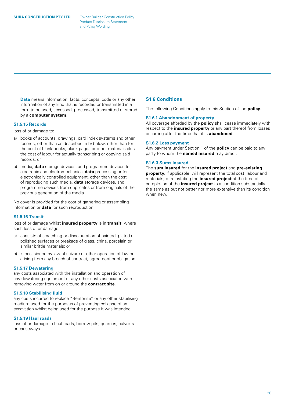<span id="page-25-0"></span>**Data** means information, facts, concepts, code or any other information of any kind that is recorded or transmitted in a form to be used, accessed, processed, transmitted or stored by a **computer system**.

#### **S1.5.15 Records**

loss of or damage to:

- a) books of accounts, drawings, card index systems and other records, other than as described in b) below, other than for the cost of blank books, blank pages or other materials plus the cost of labour for actually transcribing or copying said records; or
- b) media, **data** storage devices, and programme devices for electronic and electromechanical **data** processing or for electronically controlled equipment, other than the cost of reproducing such media, **data** storage devices, and programme devices from duplicates or from originals of the previous generation of the media.

No cover is provided for the cost of gathering or assembling information or **data** for such reproduction.

# **S1.5.16 Transit**

loss of or damage whilst **insured property** is in **transit**, where such loss of or damage:

- a) consists of scratching or discolouration of painted, plated or polished surfaces or breakage of glass, china, porcelain or similar brittle materials; or
- b) is occasioned by lawful seizure or other operation of law or arising from any breach of contract, agreement or obligation.

# **S1.5.17 Dewatering**

any costs associated with the installation and operation of any dewatering equipment or any other costs associated with removing water from on or around the **contract site**.

#### **S1.5.18 Stabilising fluid**

any costs incurred to replace "Bentonite" or any other stabilising medium used for the purposes of preventing collapse of an excavation whilst being used for the purpose it was intended.

#### **S1.5.19 Haul roads**

loss of or damage to haul roads, borrow pits, quarries, culverts or causeways.

# **S1.6 Conditions**

The following Conditions apply to this Section of the **policy**.

#### **S1.6.1 Abandonment of property**

All coverage afforded by the **policy** shall cease immediately with respect to the **insured property** or any part thereof from losses occurring after the time that it is **abandoned**.

#### **S1.6.2 Loss payment**

Any payment under Section 1 of the **policy** can be paid to any party to whom the **named insured** may direct.

#### **S1.6.3 Sums Insured**

The **sum insured** for the **insured project** and **pre-existing property**, if applicable, will represent the total cost, labour and materials, of reinstating the **insured project** at the time of completion of the **insured project** to a condition substantially the same as but not better nor more extensive than its condition when new.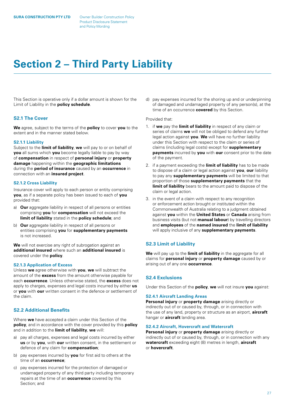# <span id="page-26-0"></span>**Section 2 – Third Party Liability**

This Section is operative only if a dollar amount is shown for the Limit of Liability in the **policy schedule**.

# **S2.1 The Cover**

**We** agree, subject to the terms of the **policy** to cover **you** to the extent and in the manner stated below.

#### **S2.1.1 Liability**

Subject to the **limit of liability**, **we** will pay to or on behalf of **you** all sums which **you** become legally liable to pay by way of **compensation** in respect of **personal injury** or **property damage** happening within the **geographic limitations** during the **period of insurance** caused by an **occurrence** in connection with an **insured project**.

#### **S2.1.2 Cross Liability**

Insurance cover will apply to each person or entity comprising **you**, as if a separate policy has been issued to each of **you** provided that:

- a) **Our** aggregate liability in respect of all persons or entities comprising **you** for **compensation** will not exceed the **limit of liability** stated in the **policy schedule**; and
- b) **Our** aggregate liability in respect of all persons or entities comprising **you** for **supplementary payments** is not increased.

**We** will not exercise any right of subrogation against an **additional insured** where such an **additional insured** is covered under the **policy**.

#### **S2.1.3 Application of Excess**

Unless **we** agree otherwise with **you**, **we** will subtract the amount of the **excess** from the amount otherwise payable for each **occurrence**. Unless otherwise stated, the **excess** does not apply to charges, expenses and legal costs incurred by either **us** or **you** with **our** written consent in the defence or settlement of the claim.

# **S2.2 Additional Benefits**

Where **we** have accepted a claim under this Section of the **policy**, and in accordance with the cover provided by this **policy** and in addition to the **limit of liability**, **we** will:

- a) pay all charges, expenses and legal costs incurred by either **us** or by **you**, with **our** written consent, in the settlement or defence of any claim for **compensation**;
- b) pay expenses incurred by **you** for first aid to others at the time of an **occurrence**;
- c) pay expenses incurred for the protection of damaged or undamaged property of any third party including temporary repairs at the time of an **occurrence** covered by this Section; and

d) pay expenses incurred for the shoring up and or underpinning of damaged and undamaged property of any person(s), at the time of an occurrence **covered** by this Section.

#### Provided that:

- 1. if **we** pay the **limit of liability** in respect of any claim or series of claims **we** will not be obliged to defend any further legal action against **you**. **We** will have no further liability under this Section with respect to the claim or series of claims (including legal costs) except for **supplementary payments** incurred by **you** with **our** consent prior to the date of the payment.
- 2. if a payment exceeding the **limit of liability** has to be made to dispose of a claim or legal action against **you**, **our** liability to pay any **supplementary payments** will be limited to that proportion of those **supplementary payments** that the **limit of liability** bears to the amount paid to dispose of the claim or legal action.
- 3. in the event of a claim with respect to any recognition or enforcement action brought or instituted within the Commonwealth of Australia relating to a judgment obtained against **you** within the **United States** or **Canada** arising from business visits (but not **manual labour**) by travelling directors and **employees** of the **named insured** the **limit of liability** will apply inclusive of any **supplementary payments**.

# **S2.3 Limit of Liability**

**We** will pay up to the **limit of liability** in the aggregate for all claims for **personal injury** or **property damage** caused by or arising out of any one **occurrence**.

# **S2.4 Exclusions**

Under this Section of the **policy**, **we** will not insure **you** against:

#### **S2.4.1 Aircraft Landing Areas**

**Personal injury** or **property damage** arising directly or indirectly out of or caused by, through, or in connection with the use of any land, property or structure as an airport, **aircraft** hangar or **aircraft** landing area.

#### **S2.4.2 Aircraft, Hovercraft and Watercraft**

**Personal injury** or **property damage** arising directly or indirectly out of or caused by, through, or in connection with any **watercraft** exceeding eight (8) metres in length, **aircraft** or **hovercraft**.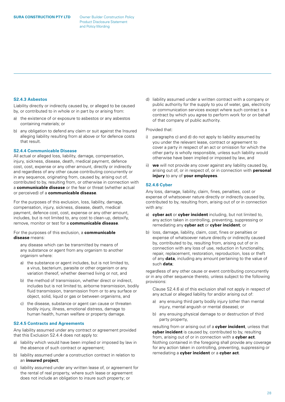#### **S2.4.3 Asbestos**

Liability directly or indirectly caused by, or alleged to be caused by, or contributed to in whole or in part by or arising from:

- a) the existence of or exposure to asbestos or any asbestos containing materials; or
- b) any obligation to defend any claim or suit against the Insured alleging liability resulting from a) above or for defence costs that result.

#### **S2.4.4 Communicable Disease**

All actual or alleged loss, liability, damage, compensation, injury, sickness, disease, death, medical payment, defence cost, cost, expense or any other amount, directly or indirectly and regardless of any other cause contributing concurrently or in any sequence, originating from, caused by, arising out of, contributed to by, resulting from, or otherwise in connection with a **communicable disease** or the fear or threat (whether actual or perceived) of a **communicable disease**.

For the purposes of this exclusion, loss, liability, damage, compensation, injury, sickness, disease, death, medical payment, defence cost, cost, expense or any other amount, includes, but is not limited to, any cost to clean-up, detoxify, remove, monitor or test for a **communicable disease**.

# For the purposes of this exclusion, a **communicable disease** means:

any disease which can be transmitted by means of any substance or agent from any organism to another organism where:

- a) the substance or agent includes, but is not limited to, a virus, bacterium, parasite or other organism or any variation thereof, whether deemed living or not, and
- b) the method of transmission, whether direct or indirect, includes but is not limited to, airborne transmission, bodily fluid transmission, transmission from or to any surface or object, solid, liquid or gas or between organisms, and
- c) the disease, substance or agent can cause or threaten bodily injury, illness, emotional distress, damage to human health, human welfare or property damage.

#### **S2.4.5 Contracts and Agreements**

Any liability assumed under any contract or agreement provided that this Exclusion S2.4.4 does not apply to:

- a) liability which would have been implied or imposed by law in the absence of such contract or agreement;
- b) liability assumed under a construction contract in relation to an **insured project**;
- c) liability assumed under any written lease of, or agreement for the rental of real property, where such lease or agreement does not include an obligation to insure such property; or

d) liability assumed under a written contract with a company or public authority for the supply to you of water, gas, electricity or communication services except where such contract is a contract by which you agree to perform work for or on behalf of that company of public authority.

# Provided that:

- i) paragraphs c) and d) do not apply to liability assumed by you under the relevant lease, contract or agreement to cover a party in respect of an act or omission for which the other party is wholly responsible, unless such liability would otherwise have been implied or imposed by law, and
- ii) **we** will not provide any cover against any liability caused by, arising out of, or in respect of, or in connection with **personal injury** to any of **your employees**.

# **S2.4.6 Cyber**

Any loss, damage, liability, claim, fines, penalties, cost or expense of whatsoever nature directly or indirectly caused by, contributed to by, resulting from, arising out of or in connection with any:

- a) **cyber act** or **cyber incident** including, but not limited to, any action taken in controlling, preventing, suppressing or remediating any **cyber act** or **cyber incident**; or
- b) loss, damage, liability, claim, cost, fines or penalties or expense of whatsoever nature directly or indirectly caused by, contributed to by, resulting from, arising out of or in connection with any loss of use, reduction in functionality, repair, replacement, restoration, reproduction, loss or theft of any **data**, including any amount pertaining to the value of such **data**;

regardless of any other cause or event contributing concurrently or in any other sequence thereto, unless subject to the following provisions:

Clause S2.4.6 a) of this exclusion shall not apply in respect of any actual or alleged liability for and/or arising out of:

- a) any ensuing third party bodily injury (other than mental injury, mental anguish or mental disease); or
- b) any ensuing physical damage to or destruction of third party property,

resulting from or arising out of a **cyber incident**, unless that **cyber incident** is caused by, contributed to by, resulting from, arising out of or in connection with a **cyber act**. Nothing contained in the foregoing shall provide any coverage for any action taken in controlling, preventing, suppressing or remediating a **cyber incident** or a **cyber act**.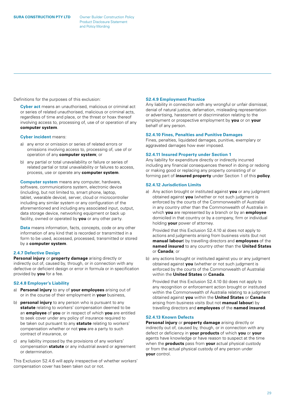Product Disclosure Statement and Policy Wording

Definitions for the purposes of this exclusion:

**Cyber act** means an unauthorised, malicious or criminal act or series of related unauthorised, malicious or criminal acts, regardless of time and place, or the threat or hoax thereof involving access to, processing of, use of or operation of any **computer system**.

**Cyber incident** means:

- a) any error or omission or series of related errors or omissions involving access to, processing of, use of or operation of any **computer system**; or
- b) any partial or total unavailability or failure or series of related partial or total unavailability or failures to access, process, use or operate any **computer system**.

**Computer system** means any computer, hardware, software, communications system, electronic device (including, but not limited to, smart phone, laptop, tablet, wearable device), server, cloud or microcontroller including any similar system or any configuration of the aforementioned and including any associated input, output, data storage device, networking equipment or back up facility, owned or operated by **you** or any other party.

**Data** means information, facts, concepts, code or any other information of any kind that is recorded or transmitted in a form to be used, accessed, processed, transmitted or stored by a **computer system**.

### **2.4.7 Defective Design**

**Personal injury** or **property damage** arising directly or indirectly out of, caused by, through, or in connection with any defective or deficient design or error in formula or in specification provided by **you** for a fee.

# **S2.4.8 Employer's Liability**

- a) **Personal injury** to any of **your employees** arising out of or in the course of their employment in **your** business,
- b) **personal injury** to any person who is pursuant to any **statute** relating to workers' compensation deemed to be an **employee** of **you** or in respect of which **you** are entitled to seek cover under any policy of insurance required to be taken out pursuant to any **statute** relating to workers' compensation whether or not **you** are a party to such contract of insurance, or
- c) any liability imposed by the provisions of any workers' compensation **statute** or any industrial award or agreement or determination.

This Exclusion S2.4.6 will apply irrespective of whether workers' compensation cover has been taken out or not.

#### **S2.4.9 Employment Practice**

Any liability in connection with any wrongful or unfair dismissal, denial of natural justice, defamation, misleading representation or advertising, harassment or discrimination relating to the employment or prospective employment by **you** or on **your** behalf of any person.

#### **S2.4.10 Fines, Penalties and Punitive Damages**

Fines, penalties, liquidated damages, punitive, exemplary or aggravated damages how ever imposed.

#### **S2.4.11 Insured Property under Section 1**

Any liability for expenditure directly or indirectly incurred including any financial consequences thereof in doing or redoing or making good or replacing any property consisting of or forming part of **insured property** under Section 1 of this **policy**.

#### **S2.4.12 Jurisdiction Limits**

a) Any action brought or instituted against **you** or any judgment obtained against **you** (whether or not such judgment is enforced by the courts of the Commonwealth of Australia) in any country other than the Commonwealth of Australia in which **you** are represented by a branch or by an **employee** domiciled in that country or by a company, firm or individual holding **your** power of attorney.

Provided that this Exclusion S2.4.10 a) does not apply to actions and judgments arising from business visits (but not **manual labour**) by travelling directors and **employees** of the **named insured** to any country other than the **United States** or **Canada**; or

b) any actions brought or instituted against you or any judgment obtained against **you** (whether or not such judgment is enforced by the courts of the Commonwealth of Australia) within the **United States** or **Canada**.

Provided that this Exclusion S2.4.10 (b) does not apply to any recognition or enforcement action brought or instituted within the Commonwealth of Australia relating to a judgment obtained against **you** within the **United States** or **Canada** arising from business visits (but not **manual labour**) by travelling directors and **employees** of the **named insured**.

# **S2.4.13 Known Defects**

**Personal injury** or **property damage** arising directly or indirectly out of, caused by, though, or in connection with any defect or deficiency in **your products** of which **you** or **your** agents have knowledge or have reason to suspect at the time when the **products** pass from **your** actual physical custody or from the actual physical custody of any person under **your** control.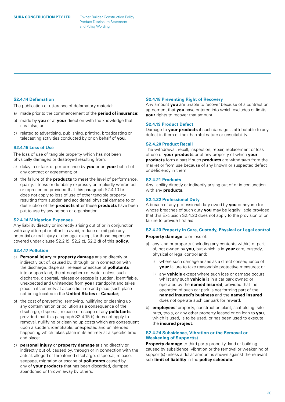# **S2.4.14 Defamation**

The publication or utterance of defamatory material:

a) made prior to the commencement of the **period of insurance**;

- b) made by **you** or at **your** direction with the knowledge that it is false; or
- c) related to advertising, publishing, printing, broadcasting or telecasting activities conducted by or on behalf of **you**.

#### **S2.4.15 Loss of Use**

The loss of use of tangible property which has not been physically damaged or destroyed resulting from:

- a) delay in or lack of performance by **you** or on **your** behalf of any contract or agreement; or
- b) the failure of the **products** to meet the level of performance, quality, fitness or durability expressly or impliedly warranted or represented provided that this paragraph S2.4.13 b) does not apply to loss of use of other tangible property resulting from sudden and accidental physical damage to or destruction of the **products** after these **products** have been put to use by any person or organisation.

#### **S2.4.14 Mitigation Expenses**

Any liability directly or indirectly arising out of or in conjunction with any attempt or effort to avoid, reduce or mitigate any potential or real injury or damage, except for those expenses covered under clause S2.2 b), S2.2 c), S2.2 d) of this **policy**.

#### **S2.4.17 Pollution**

- a) **Personal injury** or **property damage** arising directly or indirectly out of, caused by, through, or in connection with the discharge, dispersal, release or escape of **pollutants** into or upon land, the atmosphere or water unless such discharge, dispersal, release or escape is sudden, identifiable, unexpected and unintended from **your** standpoint and takes place in its entirety at a specific time and place (such place not being located in the **United States** or **Canada**);
- b) the cost of preventing, removing, nullifying or cleaning up any contamination or pollution as a consequence of the discharge, dispersal, release or escape of any **pollutants** provided that this paragraph S2.4.15 b) does not apply to removal, nullifying or cleaning up costs which are consequent upon a sudden, identifiable, unexpected and unintended happening which takes place in its entirety at a specific time and place;
- c) **personal injury** or **property damage** arising directly or indirectly out of, caused by, through or in connection with the actual, alleged or threatened discharge, dispersal, release, seepage, migration or escape of **pollutants** caused by any of **your products** that has been discarded, dumped, abandoned or thrown away by others.

#### **S2.4.18 Preventing Right of Recovery**

Any amount **you** are unable to recover because of a contract or agreement that **you** have entered into which excludes or limits **your** rights to recover that amount.

#### **S2.4.19 Product Defect**

Damage to **your products** if such damage is attributable to any defect in them or their harmful nature or unsuitability.

# **S2.4.20 Product Recall**

The withdrawal, recall, inspection, repair, replacement or loss of use of **your products** or of any property of which **your products** form a part if such **products** are withdrawn from the market or from use because of any known or suspected defect or deficiency in them.

#### **S2.4.21 Products**

Any liability directly or indirectly arising out of or in conjunction with any **products**.

# **S2.4.22 Professional Duty**

A breach of any professional duty owed by **you** or anyone for whose breaches of such duty **you** may be legally liable provided that this Exclusion S2.4.20 does not apply to the provision of or failure to provide first aid.

# **S2.4.23 Property in Care, Custody, Physical or Legal control**

**Property damage** to or loss of:

- a) any land or property (including any contents within) or part of, not owned by **you**, but which is in **your** care, custody, physical or legal control and:
	- i) where such damage arises as a direct consequence of **your** failure to take reasonable protective measures; or
	- ii) any **vehicle** except where such loss or damage occurs whilst any such **vehicle** is in a car park owned or operated by the **named insured**, provided that the operation of such car park is not forming part of the **named insured's business** and the **named insured** does not operate such car park for reward.
- b) **employees'** property, construction plant, scaffolding, site huts, tools, or any other property leased or on loan to **you**, which is used, is to be used, or has been used to execute the **insured project**.

# **S2.4.24 Subsidence, Vibration or the Removal or Weakening of Support(s)**

**Property damage** to third party property, land or building caused by subsidence, vibration or the removal or weakening of support(s) unless a dollar amount is shown against the relevant sub-**limit of liability** in the **policy schedule**.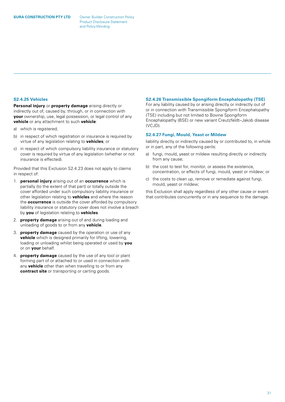Product Disclosure Statement and Policy Wording

#### **S2.4.25 Vehicles**

**Personal injury** or **property damage** arising directly or indirectly out of, caused by, through, or in connection with **your** ownership, use, legal possession, or legal control of any **vehicle** or any attachment to such **vehicle**:

- a) which is registered;
- b) in respect of which registration or insurance is required by virtue of any legislation relating to **vehicles**; or
- c) in respect of which compulsory liability insurance or statutory cover is required by virtue of any legislation (whether or not insurance is effected).

Provided that this Exclusion S2.4.23 does not apply to claims in respect of:

- 1. **personal injury** arising out of an **occurrence** which is partially (to the extent of that part) or totally outside the cover afforded under such compulsory liability insurance or other legislation relating to **vehicles** and where the reason the **occurrence** is outside the cover afforded by compulsory liability insurance or statutory cover does not involve a breach by **you** of legislation relating to **vehicles**.
- 2. **property damage** arising out of and during loading and unloading of goods to or from any **vehicle**.
- 3. **property damage** caused by the operation or use of any **vehicle** which is designed primarily for lifting, lowering, loading or unloading whilst being operated or used by **you** or on **your** behalf.
- 4. **property damage** caused by the use of any tool or plant forming part of or attached to or used in connection with any **vehicle** other than when travelling to or from any **contract site** or transporting or carting goods.

# **S2.4.26 Transmissible Spongiform Encephalopathy (TSE)**

For any liability caused by or arising directly or indirectly out of or in connection with Transmissible Spongiform Encephalopathy (TSE) including but not limited to Bovine Spongiform Encephalopathy (BSE) or new variant Creutzfeldt–Jakob disease (VCJD).

# **S2.4.27 Fungi, Mould, Yeast or Mildew**

liability directly or indirectly caused by or contributed to, in whole or in part, any of the following perils:

- a) fungi, mould, yeast or mildew resulting directly or indirectly from any cause;
- b) the cost to test for, monitor, or assess the existence, concentration, or effects of fungi, mould, yeast or mildew; or
- c) the costs to clean up, remove or remediate against fungi, mould, yeast or mildew;

this Exclusion shall apply regardless of any other cause or event that contributes concurrently or in any sequence to the damage.